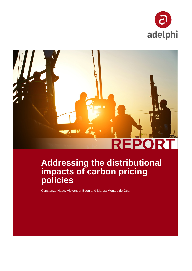



# **Addressing the distributional impacts of carbon pricing policies**

Constanze Haug, Alexander Eden and Mariza Montes de Oca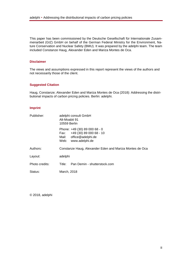This paper has been commissioned by the Deutsche Gesellschaft für Internationale Zusammenarbeit (GIZ) GmbH on behalf of the German Federal Ministry for the Environment, Nature Conservation and Nuclear Safety (BMU). It was prepared by the adelphi team. The team included Constanze Haug, Alexander Eden and Mariza Montes de Oca.

#### **Disclaimer**

The views and assumptions expressed in this report represent the views of the authors and not necessarily those of the client.

#### **Suggested Citation**

Haug, Constanze; Alexander Eden and Mariza Montes de Oca (2018): Addressing the distributional impacts of carbon pricing policies. Berlin: adelphi.

#### **Imprint**

| Publisher:     | adelphi consult GmbH<br>Alt-Moabit 91<br>10559 Berlin |                                                                                                       |  |  |  |
|----------------|-------------------------------------------------------|-------------------------------------------------------------------------------------------------------|--|--|--|
|                | Fax:<br>Web:                                          | Phone: +49 (30) 89 000 68 - 0<br>+49 (30) 89 000 68 - 10<br>Mail: office@adelphi.de<br>www.adelphi.de |  |  |  |
| Authors:       |                                                       | Constanze Haug, Alexander Eden and Mariza Montes de Oca                                               |  |  |  |
| Layout:        | adelphi                                               |                                                                                                       |  |  |  |
| Photo credits: | Title:                                                | Pan Demin - shutterstock.com                                                                          |  |  |  |
| Status:        | March, 2018                                           |                                                                                                       |  |  |  |
|                |                                                       |                                                                                                       |  |  |  |

© 2018, adelphi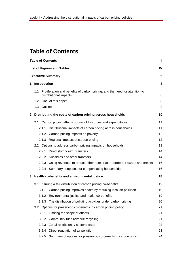# <span id="page-2-0"></span>**Table of Contents**

|              | <b>Table of Contents</b> |                                                                             | Ш               |
|--------------|--------------------------|-----------------------------------------------------------------------------|-----------------|
|              |                          | <b>List of Figures and Tables</b>                                           | IV              |
|              | <b>Executive Summary</b> |                                                                             | 6               |
| 1            | Introduction             |                                                                             | 8               |
|              | 1.1                      | Proliferation and benefits of carbon pricing, and the need for attention to |                 |
|              |                          | distributional impacts                                                      | 8               |
|              |                          | 1.2 Goal of this paper                                                      | 8               |
|              | 1.3 Outline              |                                                                             | 9               |
| $\mathbf{2}$ |                          | Distributing the costs of carbon pricing across households                  | 10              |
|              |                          | 2.1 Carbon pricing affects household incomes and expenditures               | 11              |
|              | 2.1.1                    | Distributional impacts of carbon pricing across households                  | 11              |
|              |                          | 2.1.2 Carbon pricing impacts on poverty                                     | 12              |
|              |                          | 2.1.3 Regional impacts of carbon pricing                                    | 12 <sup>2</sup> |
|              |                          | 2.2 Options to address carbon pricing impacts on households                 | 13              |
|              | 2.2.1                    | Direct (lump-sum) transfers                                                 | 14              |
|              |                          | 2.2.2 Subsidies and other transfers                                         | 14              |
|              | 2.2.3                    | Using revenues to reduce other taxes (tax reform): tax swaps and credits    | 16              |
|              |                          | 2.2.4 Summary of options for compensating households                        | 16              |
| 3            |                          | Health co-benefits and environmental justice                                | 18              |
|              |                          | 3.1 Ensuring a fair distribution of carbon pricing co-benefits              | 19              |
|              | 3.1.1                    | Carbon pricing improves health by reducing local air pollution              | 19              |
|              |                          | 3.1.2 Environmental justice and health co-benefits                          | 19              |
|              | 3.1.3                    | The distribution of polluting activities under carbon pricing               | 20              |
|              |                          | 3.2 Options for preserving co-benefits in carbon pricing policy             | 21              |
|              | 3.2.1                    | Limiting the scope of offsets                                               | 21              |
|              | 3.2.2                    | Community fund revenue recycling                                            | 21              |
|              | 3.2.3                    | Zonal restrictions / sectoral caps                                          | 23              |
|              | 3.2.4                    | Direct regulation of air pollution                                          | 23              |
|              | 3.2.5                    | Summary of options for preserving co-benefits in carbon pricing             | 24              |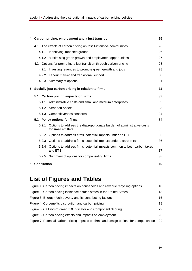|   |              | 4 Carbon pricing, employment and a just transition                                           | 25 |
|---|--------------|----------------------------------------------------------------------------------------------|----|
|   |              | 4.1 The effects of carbon pricing on fossil-intensive communities                            | 26 |
|   | 4.1.1        | Identifying impacted groups                                                                  | 26 |
|   |              | 4.1.2 Maximising green growth and employment opportunities                                   | 27 |
|   |              | 4.2 Options for promoting a just transition through carbon pricing                           | 28 |
|   | 4.2.1        | Investing revenues to promote green growth and jobs                                          | 28 |
|   |              | 4.2.2 Labour market and transitional support                                                 | 30 |
|   |              | 4.2.3 Summary of options                                                                     | 31 |
| 5 |              | Socially just carbon pricing in relation to firms                                            | 32 |
|   |              | 5.1 Carbon pricing impacts on firms                                                          | 33 |
|   | 5.1.1        | Administrative costs and small and medium enterprises                                        | 33 |
|   |              | 5.1.2 Stranded Assets                                                                        | 33 |
|   |              | 5.1.3 Competitiveness concerns                                                               | 34 |
|   |              | 5.2 Policy options for firms                                                                 | 34 |
|   | 5.2.1        | Options to address the disproportionate burden of administrative costs<br>for small emitters | 35 |
|   |              | 5.2.2 Options to address firms' potential impacts under an ETS                               | 35 |
|   |              | 5.2.3 Options to address firms' potential impacts under a carbon tax                         | 36 |
|   | 5.2.4        | Options to address firms' potential impacts common to both carbon taxes<br>and ETS           | 37 |
|   |              | 5.2.5 Summary of options for compensating firms                                              | 38 |
|   | 6 Conclusion |                                                                                              | 40 |

# <span id="page-3-0"></span>**List of Figures and Tables**

| Figure 1: Carbon pricing impacts on households and revenue recycling options            | 10 |
|-----------------------------------------------------------------------------------------|----|
| Figure 2: Carbon pricing incidence across states in the United States                   | 13 |
| Figure 3: Energy (fuel) poverty and its contributing factors                            | 15 |
| Figure 4: Co-benefits distribution and carbon pricing                                   | 18 |
| Figure 5: CalEnviroScreen 3.0 Indicator and Component Scoring                           | 22 |
| Figure 6: Carbon pricing effects and impacts on employment                              | 25 |
| Figure 7: Potential carbon pricing impacts on firms and design options for compensation | 32 |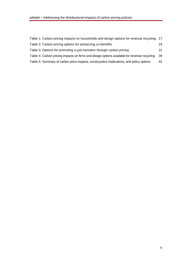| Table 1: Carbon pricing impacts on households and design options for revenue recycling 17   |    |
|---------------------------------------------------------------------------------------------|----|
| Table 2: Carbon pricing options for preserving co-benefits                                  | 24 |
| Table 3: Options for promoting a just transition through carbon pricing                     | 31 |
| Table 4: Carbon pricing impacts on firms and design options available for revenue recycling | 39 |
| Table 5: Summary of carbon price impacts, social justice implications, and policy options   | 42 |
|                                                                                             |    |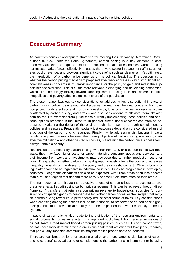# <span id="page-5-0"></span>**Executive Summary**

As countries consider appropriate strategies for meeting their Nationally Determined Contributions (NDCs) under the Paris Agreement, carbon pricing is a key element to costeffectively achieve the required emission reductions in national economies. Carbon pricing harnesses market forces, effectively engages the private sector in abatement efforts, generates public revenue, and provides significant co-benefits such as cleaner air. Yet ultimately, the introduction of a carbon price depends on its political feasibility. The question as to whether the carbon pricing mechanism proposed effectively addresses key distributional and competitiveness concerns is of utmost importance for the policy to gain and retain the support needed over time. This is all the more relevant in emerging and developing economies, which are increasingly moving toward adopting carbon pricing tools and where historical inequalities and poverty affect a significant share of the population

The present paper lays out key considerations for addressing key distributional impacts of carbon pricing policy. It systematically discusses the main distributional concerns from carbon pricing for different societal groups – households, local communities, workers particularly affected by carbon pricing, and firms – and discusses options to alleviate them, drawing both on real-life examples from jurisdictions currently implementing these policies and additional options proposed in the literature. In general, distributional concerns can often be addressed by altering the design of the pricing mechanism itself, or through complementary policies and measures. Frequently, socially just outcomes depend on the considered use of a portion of the carbon pricing revenues. Finally, while addressing distributional impacts regularly requires trade-offs between the primary objective of carbon pricing – ensuring costeffective mitigation – and other desired outcomes, maintaining the carbon price signal should always remain a priority.

Households are affected by carbon pricing, whether from ETS or a carbon tax, in two main ways: they may face higher costs for carbon intensive consumer goods and services; and their income from work and investments may decrease due to higher production costs for firms. The question whether carbon pricing disproportionately affects the poor and increases inequality depends on the design of the policy and the domestic context. While carbon pricing is often found to be regressive in industrial countries, it may be progressive in developing countries. Geographic disparities can also be expected, with urban areas often less affected than rural, and regions that depend more heavily on fossil fuels more affected than others.

The main potential to mitigate the regressive effects of carbon prices, or to accentuate progressive effects, lies with using carbon pricing revenue. This can be achieved through direct (lump sum) transfers that return carbon pricing revenue to households, subsidies for consumption of specific goods to compensate for higher carbon prices, or "tax swaps" that recycle carbon pricing revenues to permanently reduce other forms of taxes. Key considerations when choosing among the options include their capacity to preserve the carbon price signal, their potential to improve social equality, and their impact on the overall efficiency of the tax system.

Impacts of carbon pricing also relate to the distribution of the resulting environmental and social co-benefits, for instance in terms of improved public health from reduced emissions of air pollutants. Broad market-based carbon pricing policies, such as ETS and carbon taxes, do not necessarily determine where emissions abatement activities will take place, meaning that particularly impacted communities may not realize proportionate co-benefits.

There are four broad options for creating a fairer and more targeted distribution of carbon pricing co-benefits, by adjusting or complementing the carbon pricing instrument or by using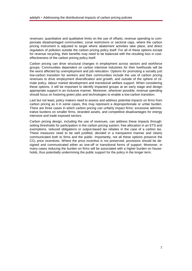revenues: quantitative and qualitative limits on the use of offsets; revenue spending to compensate disadvantaged communities; zonal restrictions or sectoral caps, where the carbon pricing instrument is adjusted to target where abatement activities take place; and direct regulation of pollution outside the carbon pricing policy itself. For all of these options except for revenue recycling, their benefits may need to be balanced with the resulting loss in costeffectiveness of the carbon pricing policy itself.

Carbon pricing can drive structural changes in employment across sectors and workforce groups. Communities dependent on carbon intensive industries for their livelihoods will be the worst affected by unemployment and job relocation. Options for promoting a socially just low-carbon transition for workers and their communities include the use of carbon pricing revenues to drive employment diversification and growth, and outside of the sphere of climate policy, labour market development and transitional welfare support. When considering these options, it will be important to identify impacted groups at an early stage and design appropriate support in an inclusive manner. Moreover, wherever possible, revenue spending should focus on fostering green jobs and technologies to enable a low-carbon transition.

Last but not least, policy makers need to assess and address potential *impacts on firms* from carbon pricing as it in some cases, this may represent a disproportionate or unfair burden. There are three cases in which carbon pricing can unfairly impact firms: excessive administrative burdens on smaller firms, stranded assets, and competitive disadvantages for energy intensive and trade exposed sectors.

Carbon pricing design, including the use of revenues, can address these impacts through: setting thresholds for participation in the carbon pricing system; free allocation in an ETS and exemptions, reduced obligations or output-based tax rebates in the case of a carbon tax. These measures need to be well justified, decided in a transparent manner and clearly communicated both to firms and the public. Importantly, not all these options preserve the CO<sub>2</sub> price incentives. Where the price incentive is not preserved, provisions should be designed and communicated either as one-off or transitional forms of support. Moreover, in many cases reducing the burden on firms will be associated with a higher burden on households, thus potentially undermining the public support for the policy in the longer term.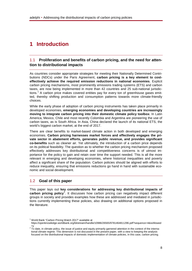# <span id="page-7-0"></span>**1 Introduction**

# <span id="page-7-1"></span>1.1 **Proliferation and benefits of carbon pricing, and the need for attention to distributional impacts**

As countries consider appropriate strategies for meeting their Nationally Determined Contributions (NDCs) under the Paris Agreement, **carbon pricing is a key element to costeffectively achieve the required emission reductions in national economies**. Explicit carbon pricing mechanisms, most prominently emissions trading systems (ETS) and carbon taxes, are now being implemented in more than 42 countries and 25 sub-national jurisdic-tions.<sup>[1](#page-7-3)</sup> A carbon price makes covered entities pay for every ton of greenhouse gases emitted, thereby shifting production and consumption patterns towards more climate-friendly choices.

While the early phase of adoption of carbon pricing instruments has taken place primarily in developed economies, **emerging economies and developing countries are increasingly moving to integrate carbon pricing into their domestic climate policy toolbox**. In Latin America, Mexico, Chile and most recently Colombia and Argentina are pioneering the use of carbon taxes, as is South Africa. In Asia, China declared the launch of its national ETS, the world's biggest carbon market, at the end of 2017.

There are clear benefits to market-based climate action in both developed and emerging economies. **Carbon pricing harnesses market forces and effectively engages the private sector in abatement efforts, generates public revenue, and provides significant co-benefits** such as cleaner air. Yet ultimately, the introduction of a carbon price depends on its political feasibility. The question as to whether the carbon pricing mechanism proposed effectively addresses key distributional and competitiveness concerns is of utmost importance for the policy to gain and retain over time the support needed. This is all the more relevant in emerging and developing economies, where historical inequalities and poverty affect a significant share of the population. Carbon policies should be aligned with efforts to reduce inequality, ensuring that emissions reductions go hand in hand with sustainable economic and social development.

# <span id="page-7-2"></span>1.2 **Goal of this paper**

This paper lays out **key considerations for addressing key distributional impacts of**  carbon pricing policy<sup>[2](#page-7-4)</sup>. It discusses how carbon pricing can negatively impact different groups in society and provides examples how these are addressed and mediated in jurisdictions currently implementing these policies, also drawing on additional options proposed in the literature.

<span id="page-7-3"></span><sup>1</sup> World Bank "Carbon Pricing Watch 2017" available at

https://openknowledge.worldbank.org/bitstream/handle/10986/26565/9781464811296.pdf?sequence=4&isAllowed

<span id="page-7-4"></span><sup>=</sup>y <sup>2</sup> To date, in climate policy, the issue of justice and equity primarily garnered attention in the context of the international climate regime. This dimension is not discussed in the present paper, with a view to keeping the analysis focused on the distributional impacts of domestic implementation of climate policies, in this case, carbon pricing.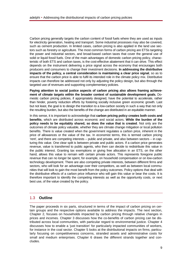Carbon pricing generally targets the carbon content of fossil fuels where they are used as inputs for electricity generation, heating and transport. Some industrial processes may also be covered, such as cement production. In limited cases, carbon pricing is also applied in the land use sectors such as forestry or agriculture. The most common forms of carbon pricing are ETSs targeting the power and industrial sectors, and broad-based carbon taxes that cover the general use of solid or liquid fossil fuels. One of the main advantages of domestic carbon pricing policy, characteristic of both ETS and carbon taxes, is the cost-effective abatement that it can drive. This effect depends on the instrument delivering a price signal across the economy that encourages both producers and consumers to change their investment decisions. **In addressing the distributive impacts of the policy, a central consideration is maintaining a clear price signal**, so as to ensure that the carbon price is able to fulfil its intended role in the climate policy mix. Distributive impacts can therefore be addressed not only by adjusting the policy design, but also through the targeted use of revenues and supporting complementary policies.

**Paying attention to social justice aspects of carbon pricing also allows framing achievement of climate targets within the broader context of sustainable development goals.** Domestic carbon pricing policies, if appropriately designed, have the potential to accelerate, rather than hinder, poverty reduction efforts by fostering socially inclusive green economic growth. Last but not least, the goal is to design the transition to a low-carbon society in such a way that not only the resulting burden, but also the benefits of the change are distributed in an equitable manner.

In this sense, it is important to acknowledge that **carbon pricing policy creates both costs and benefits**, which are distributed across economic and social actors. **While the burden of the policy needs to be equitably shared, so does the value that is created**. Not only are the outcomes of climate policy valuable, whether they are climate change mitigation or local pollution benefits. There is value created when the government regulates a carbon price, inherent in the price of allowances or the value of the tax. In economist terms, this is termed carbon pricing 'rent', and there are competing interests – public and private, and also between sectors – in capturing this value. One clear split is between private and public actors. If a carbon price generates revenue, value is transferred to public agents, who then can decide to redistribute this value in the public interest. Granting tax exemptions or giving free allocation in an ETS, on the other hand, allows this value to remain with certain private actors. This represents foregone public revenue that can no longer be spent, for example, on household compensation or on low-carbon technology development. There are also competing private interests, between different firms and sectors, who will look for an advantage over their competitors, as well as between local communities that will look to gain the most benefit from the policy outcomes. Policy options that deal with the distributive effects of a carbon price influence who will gain this value or bear the costs. It is therefore important to identify the competing interests as well as the opportunity costs, or next best use, of the value created by the policy.

#### <span id="page-8-0"></span>1.3 **Outline**

The paper proceeds in six parts, structured in terms of the impact of carbon pricing on certain groups and the respective options available to address the impacts. The next section, Chapter 2, focuses on households impacted by carbon pricing through relative changes in prices and incomes. Chapter 3 discusses how the co-benefits of carbon pricing can be distributed across local communities, with particular regard to environmental justice. Chapter 4 discusses how to enable a 'just transition' for particularly impacted communities of workers, for instance in the coal sector. Chapter 5 looks at the distributional impacts on firms, particularly focusing on competitiveness concerns, stranded assets and administrative costs for small and medium enterprises. Chapter 6 draws the different strands together and concludes.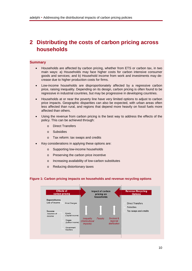# <span id="page-9-0"></span>**2 Distributing the costs of carbon pricing across households**

#### **Summary**

- Households are affected by carbon pricing, whether from ETS or carbon tax, in two main ways: a) Households may face higher costs for carbon intensive consumer goods and services; and b) Household income from work and investments may decrease due to higher production costs for firms.
- Low-income households are disproportionately affected by a regressive carbon price, raising inequality. Depending on its design, carbon pricing is often found to be regressive in industrial countries, but may be progressive in developing countries.
- Households at or near the poverty line have very limited options to adjust to carbon price impacts. Geographic disparities can also be expected, with urban areas often less affected than rural, and regions that depend more heavily on fossil fuels more affected than others.
- Using the revenue from carbon pricing is the best way to address the effects of the policy. This can be achieved through:
	- o Direct Transfers
	- o Subsidies
	- o Tax reform: tax swaps and credits
- Key considerations in applying these options are:
	- o Supporting low-income households
	- o Preserving the carbon price incentive
	- o Increasing availability of low-carbon substitutes
	- o Reducing distortionary taxes

#### <span id="page-9-1"></span>**Figure 1: Carbon pricing impacts on households and revenue recycling options**

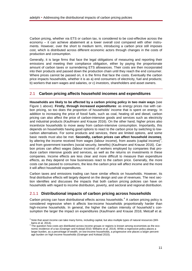Carbon pricing, whether via ETS or carbon tax, is considered to be cost-effective across the economy – it can achieve abatement at a lower overall cost compared with other instruments. However, over the short to medium term, introducing a carbon price still imposes cost, which is distributed across different economic actors through changes in the costs of production and consumption.

Generally, it is large firms that face the legal obligations of measuring and reporting their emissions and meeting their compliance obligation, either by paying the proportionate amount of carbon taxes or surrendering ETS allowances. Their costs are then incorporated into their products and passed down the production chain until they reach the end consumer. Where prices cannot be passed on, it is the firms that face the costs. Eventually the carbon price impacts households, whether it is as a) end consumers of electricity, fuel and products; b) workers that earn wages and salaries, or c) investors, shareholders and asset owners.

## <span id="page-10-0"></span>2.1 **Carbon pricing affects household incomes and expenditures**

**Households are likely to be affected by a carbon pricing policy in two main ways** (see Figure 1 above). **Firstly, through increased** *expenditures*: as energy prices rise with carbon pricing, so too does the proportion of households' income that is spent on energy. In addition to increasing the price of fossil fuels, such as coal, heating oil and diesel, carbon pricing can also affect the price of carbon-intensive goods and services such as electricity and industrial products (Kaufmann and Krause 2016). On the other hand, higher prices also incentivize households to move away from carbon-intensive consumption. Importantly, this depends on households having good options to react to the carbon price by switching to lowcarbon alternatives. For some products and services, there are limited options, and some basic needs must also be met. **Secondly, carbon prices can affect household** *incomes,*  by altering the income received from wages (labour income), from assets (capital income)<sup>[3](#page-10-2)</sup>, and from government transfers (social security, benefits) (Kaufmann and Krause 2016). Carbon prices can affect wages (labour income) of workers employed by companies that produce carbon intensive goods and services, as well as the returns on investments in these companies. Income effects are less clear and more difficult to measure than expenditure effects, as they depend on how businesses react to the carbon price. Generally, the more costs can be passed to consumers, the less the carbon price will affect income and the more it will affect household expenditures.

Carbon taxes and emissions trading can have similar effects on households. However, its final distributive effects will largely depend on the design and use of revenues. The next section identifies and discusses the impacts that both carbon pricing policies can have on households with regard to income distribution, poverty, and sectoral and regional distribution.

## <span id="page-10-1"></span>2.1.1 **Distributional impacts of carbon pricing across households**

Carbon pricing can have distributional effects across households. $4\text{ A}$  $4\text{ A}$  carbon pricing policy is considered regressive when it affects low-income households proportionally harder than high-income households. In general, the higher the carbon intensity of household´s consumption the larger the impact on expenditures (Kaufmann and Krause 2016; Metcalf et al.

<span id="page-10-2"></span><sup>&</sup>lt;sup>3</sup> Note that asset income can take many forms, including capital, but also multiple types of natural resources (Williams et al. 2014).

<span id="page-10-3"></span>The question how costs are distributed across income groups or regions is known among economists as the economic incidence of a tax (Grainger and Kolstad 2010; Williams et al. 2014). While a regressive policy places a larger burden, as a percentage of wealth, on low-income households, a progressive one places a larger percentage burden on high income households (Grainger and Kolstad 2010).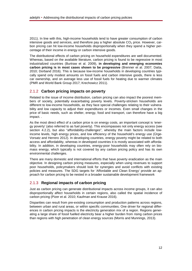2011). In line with this, high-income households tend to have greater consumption of carbon intensive goods and services, and therefore pay a higher absolute  $CO<sub>2</sub>$  price. However, carbon pricing can hit low-income households disproportionally when they spend a higher percentage of their income in energy or carbon intensive goods.

The distributional effects of carbon pricing on household expenditures are well documented. Whereas, based on the available literature, carbon pricing is found to be regressive in most industrialized countries (Burtraw et al. 2009), **in developing and emerging economies carbon pricing is in most cases shown to be progressive** (Brenner et al. 2007; Datta, 2010; Dorband 2016). This is because low-income households in developing countries typically spend only modest amounts on fossil fuels and carbon intensive goods, there is less car ownership, and on average less use of fossil fuels for heating due to warmer climates (PMR and World Bank Group 2017; Krechowicz 2011).

# <span id="page-11-0"></span>2.1.2 **Carbon pricing impacts on poverty**

Related to the issue of income distribution, carbon pricing can also impact the poorest members of society, potentially exacerbating poverty levels. Poverty-stricken households are different to low-income households, as they face special challenges relating to their vulnerability and low capacity to adjust their expenditures or incomes. Even small changes in the price of basic needs, such as shelter, energy, food and transport, can therefore have a big impact. .

As the most direct effect of a carbon price is on energy costs, an important concept is 'energy poverty' (also referred to as fuel poverty). This encompasses not only energy access (see section 4.2.2), but also "affordability-challenges", whereby the main factors include lowincome levels, high energy prices, and low efficiency of the household's energy use (Ürge-Vorsatz and Herrero 2012). In developing countries, energy poverty might be related to both access and affordability, whereas in developed countries it is mostly associated with affordability. In addition, in developing countries, energy-poor households may often rely on biomass energy, which typically is not covered by any carbon pricing policy and has its own environmental challenges.

There are many domestic and international efforts that have poverty eradication as the main objective. In designing carbon pricing measures, especially when using revenues to support poor households, policymakers should look for synergies and avoid conflicts with existing policies and measures. The SDG targets for 'Affordable and Clean Energy' provide an approach for carbon pricing to be nested in a broader sustainable development framework

# <span id="page-11-1"></span>2.1.3 **Regional impacts of carbon pricing**

Just as carbon pricing can generate distributional impacts across income groups, it can also disproportionally affect households in certain regions, also called the spatial incidence of carbon pricing (Pizer et al. 2010; Kaufman and Krause 2016).

Disparities can result from pre-existing consumption and production patterns across regions, between urban and rural areas, or within specific communities. One driver for regional differences in carbon pricing impacts is the electricity generation mix of a region. Regions generating a large share of fossil fuelled electricity bear a higher burden from rising carbon prices than regions with high penetration of clean energy sources (Morris and Munnings, 2013).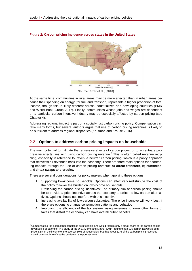

**Figure 2: Carbon pricing incidence across states in the United States**

**Source: Pizer et al., (2010)**

At the same time, communities in rural areas may be more affected than in urban areas because their spending on energy (for fuel and transport) represents a higher proportion of total income, though this is likely different across industrialized and developing countries (PMR and World Bank Group 2017). Finally, communities whose jobs and wages are dependent on a particular carbon-intensive industry may be especially affected by carbon pricing (see Chapter 4).

Addressing regional impact is part of a socially just carbon pricing policy. Compensation can take many forms, but several authors argue that use of carbon pricing revenues is likely to be sufficient to address regional disparities (Kaufman and Krause 2016).

# <span id="page-12-0"></span>2.2 **Options to address carbon pricing impacts on households**

The main potential to mitigate the regressive effects of carbon prices, or to accentuate pro-gressive effects, lies with using carbon pricing revenue.<sup>[5](#page-12-1)</sup> This is often called revenue recycling, especially in reference to 'revenue neutral' carbon pricing, which is a policy approach that reinvests all revenues back into the economy. There are three main options for addressing impacts through the use of carbon pricing revenue: a) **direct transfers**, b) **subsidies**, and c) **tax swaps and credits.**

There are several considerations for policy makers when applying these options:

- 1. Supporting low-income households: Options can effectively redistribute the cost of the policy to lower the burden on low-income households
- 2. Preserving the carbon pricing incentives: The primary aim of carbon pricing should be to provide a price incentive across the economy to switch to low carbon alternatives. Options should not interfere with this incentive.
- 3. Increasing availability of low-carbon substitutes: The price incentive will work best if there are options to change consumption patterns and behaviour.
- 4. Improving the efficiency of the tax system: using revenues to lower other forms of taxes that distort the economy can have overall public benefits.

<span id="page-12-1"></span><sup>&</sup>lt;sup>5</sup> Compensating the poorest households is both feasible and would require only a small share of the carbon pricing revenues. For example, in a study of the U.S., Morris and Mathur (2014) found that a \$15 carbon tax would comprise 3.5% of the income of the poorest 10% of households, but that about 11% of the carbon pricing revenues would be enough to offset the burden on the poorest 20%.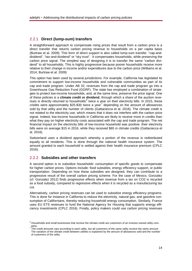# <span id="page-13-0"></span>2.2.1 **Direct (lump-sum) transfers**

A straightforward approach to compensate rising prices that result from a carbon price is a direct transfer that returns carbon pricing revenue to households on a per capita basis (Burtraw et al. 2009). This form of direct support is also called lump-sum transfer, "cap-anddividend", "tax-and-dividend" or "sky trust". It compensates households, while preserving the carbon price signal. The simplest way of designing it is to transfer the same "carbon dividend" to all households. This is highly progressive because poorer households receive more relative to their change in income and/or expenditures due to the carbon price (Williams et al. 2014; Burtraw et al. 2009)

This option has been used by several jurisdictions. For example, California has legislated its commitment to support low-income households and vulnerable communities as part of its cap and trade program. Under AB 32, revenues from the cap and trade program go into a Greenhouse Gas Reduction Fund (GGRF). The state has employed a combination of strategies to protect low-income households, and, at the same time, preserve the price signal. One of these policies is a **climate credit or dividend**, through which a share of the auction reve-nues is directly returned to households<sup>[6](#page-13-2)</sup> twice a year on their electricity bills. In 2015, these credits were approximately \$25-\$30 twice a year<sup>[7](#page-13-3)</sup> depending on the amount of allowances sold by that utility and the number of clients (Gattaciecca et al. 2016). The climate credit is not related to the electricity use, which means that it does not interfere with the carbon price signal. Indeed, low-income households in California are likely to receive more in credits than what they pay on higher electricity costs associated with the cap and trade program. The net financial impact on the electricity bills of low-income household was positive: their electricity bills were on average \$15 in 2016, while they received \$65 in climate credits (Gattaciecca et al. 2016).

Switzerland uses a dividend approach whereby a portion of the revenue is redistributed equally to all residents. This is done through the national health insurance system. The amount granted to each household is settled against their health insurance premium (CPLC 2016).

## <span id="page-13-1"></span>2.2.2 **Subsidies and other transfers**

A second option is to subsidize households' consumption of specific goods to compensate for higher carbon prices. Options include: food subsidies, energy efficiency support, or public transportation. Depending on how these subsidies are designed, they can contribute to a progressive result of the overall carbon pricing scheme. For the case of Mexico, Gonzalez (cf. Gonzalez 2012) finds progressive effects when revenue from a tax on CO2 is recycled as a food subsidy, compared to regressive effects when it is recycled as a manufacturing tax cut.

Alternatively, carbon pricing revenues can be used to subsidize energy efficiency programs. This is done for instance in California to reduce the electricity, natural gas, and gasoline consumption of Californians, thereby reducing household energy consumption. Similarly, France uses EU ETS revenues to fund the National Agency for Housing that supports energy efficiency investments (CPLC 2016). Finally, policy makers could use carbon pricing revenues

<span id="page-13-3"></span><span id="page-13-2"></span> $6$  Households and small businesses that receive the climate credit are customers of an investor-owned utility com- $7\frac{\text{pany}}{\text{r}}$ .

The credit amounts vary according to each utility, but all customers of the same utility receive the same amount. The variation of the climate credit between utilities is explained by the amount of allowances sold and the number of customers of the utility.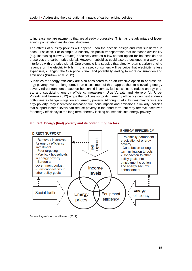to increase welfare payments that are already progressive. This has the advantage of leveraging upon existing institutional structures.

The effects of subsidy policies will depend upon the specific design and item subsidized in each jurisdiction. For example, a subsidy on public transportation that increases availability (e.g. increasing subway routes) effectively creates a low-carbon option for households and preserves the carbon price signal. However, subsidies could also be designed in a way that interferes with the price signal. One example is a subsidy that directly returns carbon pricing revenue on the electricity bills. In this case, consumers will perceive that electricity is less expensive, changing the  $CO<sub>2</sub>$  price signal, and potentially leading to more consumption and emissions (Burtraw et al. 2012).

Subsidies for energy efficiency are also considered to be an effective option to address energy poverty over the long term. In an assessment of three approaches to alleviating energy poverty (direct transfers to support household incomes, fuel subsidies to reduce energy prices, and subsidizing energy efficiency measures), Ürge-Vorsatz and Herrero (cf. Ürge-Vorsatz and Herrero 2012) argue that policies supporting energy efficiency can best address both climate change mitigation and energy poverty. Although fuel subsidies may reduce energy poverty, they incentivise increased fuel consumption and emissions. Similarly, policies that support income levels can reduce poverty in the short term, but may remove incentives for energy efficiency in the long term, thereby locking households into energy poverty.



#### <span id="page-14-1"></span>**Figure 3: Energy (fuel) poverty and its contributing factors**

<span id="page-14-0"></span>Source: Ürge-Vorsatz and Herrero (2012)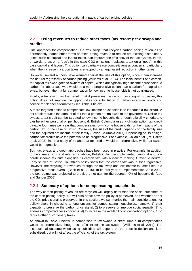# 2.2.3 **Using revenues to reduce other taxes (tax reform): tax swaps and credits**

One approach for compensation is a "tax swap" that recycles carbon pricing revenues to permanently reduce other forms of taxes. Using revenue to reduce pre-existing distortionary taxes, such as capital and labour taxes, can improve the efficiency of the tax system. In other words, a tax on a "bad", in this case CO2 emissions, replaces a tax on a "good", in this case capital and labour. This option can partially ease competitiveness concerns, particularly when the increase in carbon taxes is swapped by an equivalent reduction in other taxes.

However, several authors have warned against the use of this option, since it can increase the natural regressivity of carbon pricing (Williams et al. 2014). The initial benefit of a carbonfor-capital tax swap goes to owners of capital, which are typically high-income households. A carbon-for-labour tax swap would be a more progressive option than a carbon-for-capital tax swap, but even then, a full compensation for low-income households is not guaranteed.

Finally, a tax swap has the benefit that it preserves the carbon price signal. However, this option does not improve the opportunities for substitution of carbon intensive goods and service for cleaner alternatives (see Table 1 below).

A more targeted option to compensate low-income households is to introduce a **tax credit**. A tax credit reduces the amount of tax that a person or firm owes to the government. Unlike tax swaps, a tax credit can be targeted to low-income households through eligibility criteria and can be either personal or per household. British Columbia uses a climate action tax credit payable four times per year that compensates low-income households for the impacts of the carbon tax. In the case of British Columbia, the size of the credit depends on the family size and the adjusted net income of the family (British Columbia 2017). Depending on its design, carbon tax credits have the potential to be progressive. For example, Callan et al. ( cf. Callan et al. 2008) find in a study of Ireland that tax credits would be progressive, while tax swaps would be regressive.

Both tax swaps and credit approaches have been used in practice. For example, in addition to the climate tax credit referred to above, British Columbia implemented personal and corporate income tax cuts alongside its carbon tax, with a view to making it revenue neutral. Early studies of British Columbia's policy show that the carbon tax was in itself regressive. However, the recycling of revenues through the tax swap and low-income tax credit led to a progressive result overall (Beck et al. 2015). In its first year of implementation 2008-2009, the tax regime was projected to provide a net gain for the poorest 40% of households (Lee and Sanger 2008).

## <span id="page-15-0"></span>2.2.4 **Summary of options for compensating households**

The way carbon pricing revenues are recycled will largely determine the social outcomes of the carbon pricing policy, but will also affect how the policy is perceived, and whether or not the  $CO<sub>2</sub>$  price signal is preserved. In this section, we summarize the main considerations for policymakers in choosing among options for compensating households, namely: 1) their capacity to preserve the carbon price signal, 2) to preserve or improve social equality, 3) to address competitiveness concerns, 4) to increase the availability of low-carbon options, 4) to reduce other distortionary taxes.

As shown in Table 1 below, in comparison to tax swaps, a direct lump sum compensation would be progressive, though less efficient for the tax system (Williams et al. 2014). The distributional outcome when using subsidies will depend on the specific design and item subsidized, but will not affect the efficiency of the tax system.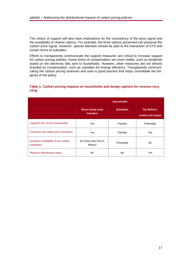The choice of support will also have implications for the consistency of the price signal and the availability of cleaner options. For example, the three options presented can preserve the carbon price signal. However, special attention should be paid to the interaction of ETS and certain forms of subsidies.

Efforts to transparently communicate the support measures are critical to increase support for carbon pricing policies. Some forms of compensation are more visible, such as dividends stated on the electricity bills sent to households. However, other measures are not directly branded as compensation, such as subsidies for energy efficiency. Transparently communicating the carbon pricing revenues and uses is good practice that helps consolidate the longevity of the policy.

| cling |  |
|-------|--|
|       |  |
|       |  |

Ÿ

<span id="page-16-0"></span>**Table 1: Carbon pricing impacts on households and design options for revenue recy-**

|                                                     | <b>Households</b>                |                  |                                         |  |
|-----------------------------------------------------|----------------------------------|------------------|-----------------------------------------|--|
|                                                     | Direct (lump sum)<br>transfers   | <b>Subsidies</b> | <b>Tax Reform:</b><br>credits and swaps |  |
| Supports low-income households                      | Yes                              | Partially        | Potentially                             |  |
| Preserves the carbon price incentives               | Yes                              | Partially        | Yes                                     |  |
| Increases availability of low-carbon<br>substitutes | No (may have lock-in<br>effects) | Potentially      | No                                      |  |
| Reduces distortionary taxes                         | N٥                               | N٥               | Yes                                     |  |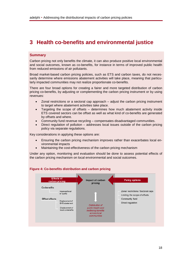# <span id="page-17-0"></span>**3 Health co-benefits and environmental justice**

#### **Summary**

Carbon pricing not only benefits the climate, it can also produce positive local environmental and social outcomes, known as co-benefits, for instance in terms of improved public health from reduced emissions of air pollutants.

Broad market-based carbon pricing policies, such as ETS and carbon taxes, do not necessarily determine where emissions abatement activities will take place, meaning that particularly impacted communities may not realize proportionate co-benefits.

There are four broad options for creating a fairer and more targeted distribution of carbon pricing co-benefits, by adjusting or complementing the carbon pricing instrument or by using revenues:

- Zonal restrictions or a sectoral cap approach adjust the carbon pricing instrument to target where abatement activities take place.
- Targeting the scope of offsets  $-$  determines how much abatement activity inside ETS covered sectors can be offset as well as what kind of co-benefits are generated by offsets and where.
- Community fund revenue recycling compensates disadvantaged communities.
- Direct regulation of pollution addresses local issues outside of the carbon pricing policy via separate regulations.

Key considerations in applying these options are:

- Ensuring the carbon pricing mechanism improves rather than exacerbates local environmental impacts
- Maintaining the cost-effectiveness of the carbon pricing mechanism

Under any option, monitoring and evaluation should be done to assess potential effects of the carbon pricing mechanism on local environmental and social outcomes.



#### <span id="page-17-1"></span>**Figure 4: Co-benefits distribution and carbon pricing**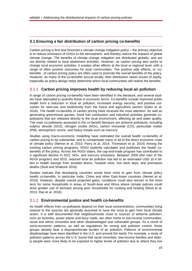# <span id="page-18-0"></span>**3.1 Ensuring a fair distribution of carbon pricing co-benefits**

Carbon pricing is first and foremost a climate change mitigation policy – the primary objective is to reduce emissions of GHGs to the atmosphere, and thereby reduce the impacts of global climate change. The benefits of climate change mitigation are distributed globally, and are not directly related to local abatement activities. However, as carbon pricing also works to change local economic activities, it creates other effects at the local or regional level, with a range of often positive outcomes for local communities. The positive side effects, or 'cobenefits', of carbon pricing policy are often used to promote the overall benefits of the policy. However, as many of the co-benefits accrue locally, their distribution raises issues of equity, especially as policy design helps determine which local communities will realize the benefits.

# <span id="page-18-1"></span>3.1.1 **Carbon pricing improves health by reducing local air pollution**

A range of carbon pricing co-benefits have been identified in the literature, and several studies have attempted to quantify these in economic terms. Co-benefits include improved public health from a reduction in local air pollution, increased energy security, and positive outcomes for land-use and biodiversity from the forest and agriculture sectors (Eden et al. 2016). The health co-benefits of carbon pricing have received the most attention. As well as generating greenhouse gasses, fossil fuel combustion and industrial activities generate copollutants that are released directly to the local environment, affecting air and water quality. The main co-pollutants assessed in the co-benefit literature are airborne pollutants, including sulphur dioxide (SO2), nitrogen oxides (NOx), carbon monoxide (CO), particulate matter (PM), atmospheric ozone, and heavy metals such as mercury.

Studies using macro-economic modelling have estimated the overall health co-benefits of carbon pricing to be substantial, and to compensate many or all of the direct economic costs of climate policy (Nemet et al. 2010; Parry et al. 2014; Thompson et al. 2014) Among the existing carbon pricing programs, RGGI explicitly calculates and publishes the health cobenefits of the policy. Across the RGGI states, the cap-and-trade program has contributed to a significant decline in SO2, NOx, and mercury emissions. Between 2009 (the start of the RGGI program) and 2015, reduced local air pollution has led to an estimated USD 10.4 billion in health savings from avoided illness, hospital visits, lost work days, and premature deaths (Stutt and Shattuck 2016).

Studies indicate that developing countries would have more to gain from climate policy health co-benefits, in particular India, China and other East-Asian countries (Nemet et al. 2010). However, despite overall projected gains, conditions could also worsen in the short term for some households in areas of South-Asia and Africa where climate policies could drive greater use of biomass among poor households for cooking and heating (West et al. 2013; Rao et al. 2016)

# <span id="page-18-2"></span>3.1.2 **Environmental justice and health co-benefits**

As health effects from co-pollutants depend on their local concentrations, communities living nearest to the sources are generally assumed to have the most to gain from local climate action. It is well documented that neighbourhoods close to sources of airborne pollution, such as factories, power plants and busy roads, are often home to low-income communities, racial and ethnic minorities and other disadvantaged and vulnerable groups. As a result of socio-economic patterns, as well as regulations for zoning and pollution control, these groups already bear a disproportionate burden of air pollution. Patterns of environmental disadvantage have been identified in the U.S. and around the world. For example, a study of pollution patterns across the U.S. found that racial minorities, low-income families and elderly people were more likely to be exposed to higher levels of pollution due to where they live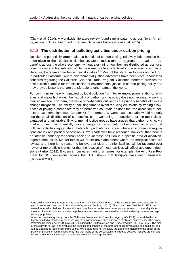(Clark et al. 2014). A worldwide literature review found similar patterns across North America, Asia and Africa, but found mixed results across Europe (Hajat et al. 2015).

#### <span id="page-19-0"></span>3.1.3 **The distribution of polluting activities under carbon pricing**

Despite the potentially large health co-benefits of carbon pricing, relatively little attention has been given to their equitable distribution. Most studies tend to aggregate the value of cobenefits across the whole economy, without examining how they are distributed across local communities and households. While the issue has been identified in the academic and legal literature, there are so far few empirical studies.<sup>[8](#page-19-2)[9](#page-19-3)</sup> Most of the literature focuses on the U.S., in particular California, where environmental justice advocates have been vocal about their concerns regarding the California Cap-and-Trade Program. California therefore provides the best current example for the discussion of environmental justice in carbon pricing policy and may provide lessons that are transferable to other parts of the world.

For communities heavily impacted by local pollution from, for example, power stations, refineries and major highways, the flexibility of carbon pricing policy does not necessarily work to their advantage. For them, the value of co-benefits outweighs the primary benefits of climate change mitigation. The ability of polluting firms to avoid reducing emissions by trading allowances or paying a carbon fee may be perceived as unfair, as does the free allocation of permits or tax exemptions (see Chapter 4). Furthermore, a 'worst-case-scenario' would not only see the unfair distribution of co-benefits, but a worsening of conditions for the most disadvantaged and vulnerable. Environmental justice groups have argued that carbon pricing, via market forces, may potentially drive a geographic redistribution of economic activity so that polluting activities aggregate in 'hotspots', particularly in areas where environmental regulations are lax and political opposition is low. Academics have reasoned, however, that there is no intrinsic tendency for carbon pricing to increase pollution in a specific area of disadvantaged communities. Market forces will rather drive abatement where the marginal costs are lowest, and there is no reason to believe that older or dirtier facilities will be favoured over newer or more efficient ones, or that the location of these facilities will affect abatement decisions (Farber 2012). Evidence from other trading schemes, for example, the Acid Rain Program for SO2 emissions across the U.S., shows that hotspots have not materialized (Ringquist 2011).

<span id="page-19-2"></span><span id="page-19-1"></span><sup>&</sup>lt;sup>8</sup> One preliminary study of Europe has examined the distributional effects of the EU ETS on co-pollutants with regard to some socio-economic indicators (Wagner and De Preux 2016). The study shows that the EU ETS has overall reduced emissions of some airborne co-pollutants, while waterborne pollutants seem to have slightly increased. Reductions in some airborne pollutants are shown to correlate with population density, income and age (elderly populations).

<span id="page-19-3"></span>A second preliminary study, from the California Environmental Protection Agency (CalEPA), has established a highly detailed methodology for assessing the environmental justice outcomes of climate policies under the Global Warming Solutions Act of 2006 (AB 32), including the California Cap-and-Trade program (OEHHA 2017). The aim of the study is to track and evaluate the benefits and impacts of the program on disadvantaged communities, and will be updated at least every three years. While data does not yet allow the authors to determine the effect of the policy on particular communities, they find that many of the co-pollutants emitted by covered facilities are correlated with areas of disadvantage, in particular around a few large facilities.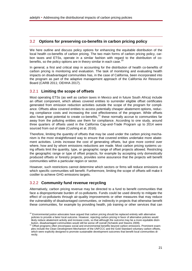# 3.2 **Options for preserving co-benefits in carbon pricing policy**

We here outline and discuss policy options for enhancing the equitable distribution of the local health co-benefits of carbon pricing. The two main forms of carbon pricing policy, carbon taxes and ETSs, operate in a similar fashion with regard to the distribution of co-benefits, so the policy options are in theory similar in each case.<sup>[10](#page-20-2)</sup>

In general, a first and critical step in accounting for the distribution of health co-benefits of carbon pricing is monitoring and evaluation. The task of monitoring and evaluating health impacts on disadvantaged communities has, in the case of California, been incorporated into the program as part of the adaptive management approach of the California Air Resource Board (CARB 2011; OEHHA 2017).

## <span id="page-20-0"></span>3.2.1 **Limiting the scope of offsets**

Most operating ETSs (as well as carbon taxes in Mexico and in future South Africa) include an offset component, which allows covered entities to surrender eligible offset certificates generated from emission reduction activities outside the scope of the program for compliance. Offsets allow covered entities to access potentially cheaper abatement options, reducing compliance costs and increasing the cost effectiveness of the program. While offsets also have great potential to create co-benefits, $11$  these normally accrue to communities far away from the polluting entities use them for compliance. According to one study, around three quarters of offsets used in the California Cap-and-Trade Program up to 2014 were sourced from out of state (Cushing et al. 2016).

Therefore, limiting the quantity of offsets that may be used under the carbon pricing mechanism is the most straightforward way to ensure that covered entities undertake more abatement activities. Limits increase the cost of generating offsets, but give more control over where, how and by whom emissions reductions are made. Most carbon pricing systems using offsets limit the quantity, type, or geographic range of offset projects allowed. Restricting the geographic range or type of offset projects, for example by accepting only domestically produced offsets or forestry projects, provides some assurance that the projects will benefit communities within a particular region or sector.

However, such restrictions cannot determine which sectors or firms will reduce emissions or which specific communities will benefit. Furthermore, limiting the scope of offsets will make it costlier to achieve GHG emissions targets.

# <span id="page-20-1"></span>3.2.2 **Community fund revenue recycling**

Alternatively, carbon pricing revenue may be directed to a fund to benefit communities that face a disproportionate burden of co-pollutants. Funds could be used directly to mitigate the effect of co-pollutants through air-quality improvements or other measures that may reduce the vulnerability of disadvantaged communities, or indirectly in projects that otherwise benefit these communities, for example by providing health, job training or other services that can

<span id="page-20-2"></span> $10$  Environmental justice advocates have argued that carbon pricing should be replaced entirely with alternative policies to provide a fairer local outcome. However, rejecting carbon pricing in favor of alternative policies would likely reduce abatement activity and increase costs, so that although the outcome may be a more equitable distri-

<span id="page-20-3"></span>bution, disadvantaged communities would still be worse off overall (Schatzki and Stavins 2009). Offset programs often encompass social and environmental benefits beyond carbon emissions. Prominent examples include the Clean Development Mechanism of the UNFCCC and the Gold Standard voluntary carbon offsets, which were explicitly designed to promote sustainable development outcomes that benefit local communities directly.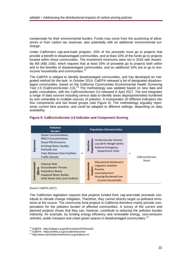compensate for their environmental burden. Funds may come from the auctioning of allowances or from carbon tax revenues, also potentially with an additional 'environmental surcharge'.

Under California's cap-and-trade program, 25% of the proceeds must go to projects that provide a benefit to disadvantaged communities, and at least 10% of the funds go to projects located within those communities. The investment minimums were set in 2016 with Assembly Bill (AB) 1550, which requires that at least 25% of proceeds go to projects both within and to the benefits of disadvantaged communities, and an additional 10% are to go to lowincome households and communities.<sup>1</sup>

The CalEPA is obliged to identify disadvantaged communities, and has developed an integrated method for the task. In October 2014, CalEPA released a list of designated disadvantaged communities, based on the California Communities Environmental Health Screening Tool 2.0 (CalEnviroScreen 2.0).<sup>[13](#page-21-2)</sup> The methodology was updated based on new data and public consultation, with the CalEnviroScreen 3.0 released in April 2017. The tool integrates a range of data sources including census data to identify areas disproportionately burdened by and vulnerable to multiple sources of pollution. It incorporates 20 different indicators into four components and two broad groups (see Figure 4). The methodology arguably represents current best practice, and could be adapted to different settings, depending on data availability.

| <b>Pollution</b><br><b>Burden</b> |                                                                                                                                                                                                               |   | <b>Population Characteristics</b>                                                                                                                                                      |
|-----------------------------------|---------------------------------------------------------------------------------------------------------------------------------------------------------------------------------------------------------------|---|----------------------------------------------------------------------------------------------------------------------------------------------------------------------------------------|
| Exposures                         | <b>Ozone Concentrations</b><br><b>PM2.5 Concentrations</b><br><b>Diesel PM Emissions</b><br><b>Drinking Water Quality</b><br>Pesticide Use<br><b>Toxic Releases from Facilities</b><br><b>Traffic Density</b> | × | <b>Cardiovascular Disease</b><br><b>opulations</b><br>Sensitive<br>Low Birth-Weight Births<br><b>Asthma Emergency</b><br><b>Department Visits</b><br>$\equiv$<br>CalEnviroScreen       |
| Environmental<br><b>Effects</b>   | <b>Cleanup Sites</b><br><b>Groundwater Threats</b><br><b>Hazardous Waste</b><br><b>Impaired Water Bodies</b><br>Solid Waste Sites and Facilities                                                              |   | Score<br><b>Educational Attainment</b><br>Socioeconomic<br>Linguistic Isolation<br><b>Graphs</b><br>Poverty<br>Unemployment<br><b>Housing Burdened Low</b><br><b>Income Households</b> |

#### <span id="page-21-0"></span>**Figure 5: CalEnviroScreen 3.0 Indicator and Component Scoring**

Source: CalEPA (2017).

The Californian legislation requires that projects funded from cap-and-trade proceeds contribute to climate change mitigation. Therefore, they cannot directly target co-pollutant emissions at the source. The community fund projects in California therefore mainly provide compensation for the pollution burden of affected communities. A survey of the current and planned projects shows that they can, however, contribute to reducing the pollution burden indirectly, for example, by funding energy efficiency and renewable energy, zero-emission vehicles, public transport and urban green spaces in disadvantaged communities.<sup>[14](#page-21-3)</sup>

<span id="page-21-3"></span>

<span id="page-21-2"></span><span id="page-21-1"></span><sup>&</sup>lt;sup>12</sup> CalEPA - http://calepa.ca.gov/EnvJustice/GHGInvest/<br><sup>13</sup> CalEPA - https://oehha.ca.gov/calenviroscreen<br><sup>14</sup> http://www.caclimateinvestments.ca.gov/about-cci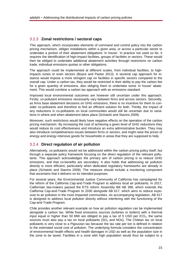# <span id="page-22-0"></span>3.2.3 **Zonal restrictions / sectoral caps**

This approach, which incorporates elements of command and control policy into the carbon pricing mechanism, obliges installations within a given area, or across a particular sector to undertake a portion of their abatement obligations 'in house'. In practice not used so far, it requires the identification of high-impact facilities, groups of facilities or sectors. These would then be obliged to undertake additional abatement activities through restrictions on carbon trade, individual emissions quotas or other obligations.

The approach could be implemented at different scales, from individual facilities, to highimpacts zones or even sectors (Boyce and Pastor 2013). A sectoral cap approach for instance would impose a more stringent cap on facilities in specific sectors compared to the overall cap. Under a carbon tax, they would be restricted in their ability to pay the carbon fee for a given quantity of emissions, also obliging them to undertake some 'in house' abatement. This would combine a carbon tax approach with an emissions standard.

Improved local environmental outcomes are however still uncertain under this approach. Firstly, co-pollutant emissions necessarily vary between firms and across sectors. Secondly, as firms base abatement decisions on GHG emissions, there is no incentive for them to consider co-pollutants and therefore to find an efficient solution for both. Thirdly, the impact of any reductions in co-pollutants on local communities would still be uncertain due to variations in where and when abatement takes place (Schatzki and Stavins 2009).

Moreover, such restrictions would likely have negative effects on the operation of the carbon pricing mechanism. By increasing the cost of achieving a given level of GHG reductions they would reduce its cost effectiveness and introduce an extra administrative burden. They may also introduce competitiveness issues between firms or sectors, and might raise the prices of energy and energy intensive goods for households in areas that they are supposed to help.

# <span id="page-22-1"></span>3.2.4 **Direct regulation of air pollution**

Alternatively, co-pollutants would not be addressed within the carbon pricing policy itself, but through a separate policy framework focusing on the direct regulation of the relevant pollutants. This approach acknowledges the primary aim of carbon pricing is to reduce GHG emissions, and that co-benefits are secondary. It also holds that addressing air pollution directly is more efficient, particularly when dedicated regulatory frameworks are already in place (Schatzki and Stavins 2009). The measure should include a monitoring component that ascertains that it delivers on its intended purposes.

For several years, the Environmental Justice Community of California has campaigned for the reform of the California Cap-and-Trade Program to address local air pollutants. In 2017, Californian law-makers passed the ETS reform Assembly Bill AB 398, which extends the California Cap-and-Trade Program to 2030 alongside AB 617, which aims to reduce exposure to air pollution in the most impacted communities. As accompanying legislation, AB 617 is designed to address local pollution directly without interfering with the functioning of the Cap-and-Trade Program.

Chile provides another relevant example on how air pollution regulation can be implemented alongside a carbon tax. While fixed emissions sources (turbines or boilers) with a thermal input equal or higher than 50 MW are obliged to pay a tax of 5 USD per  $tCO<sub>2</sub>$ , the same sources must also pay a tax on local pollutants  $(SO<sub>2</sub>)$  and NOx). The Chilean tax on local pollutants is very close to a Pigouvian tax because the tax rate per ton is defined in relation to the estimated social cost of pollution. The underlying formula considers the concentration of environmental health effects and health damages in USD as well as the population size in the zone to be taxed. Facilities in a zone with high population would thus be subject to a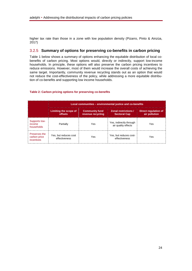higher tax rate than those in a zone with low population density (Pizarro, Pinto & Ainzúa, 2017)

# <span id="page-23-0"></span>3.2.5 **Summary of options for preserving co-benefits in carbon pricing**

Table 1 below shows a summary of options enhancing the equitable distribution of local cobenefits of carbon pricing. Most options would, directly or indirectly, support low-income households. In principle, these options will also preserve the carbon pricing incentives to reduce emissions. However, most of them would increase the overall costs of achieving the same target. Importantly, community revenue recycling stands out as an option that would not reduce the cost-effectiveness of the policy, while addressing a more equitable distribution of co-benefits and supporting low income households.

#### **Local communities – environmental justice and co-benefits Limiting the scope of offsets Community fund revenue recycling Zonal restrictions / Sectoral Cap Direct regulation of air pollution** Supports lowincome households Partially Yes Yes Yes, indirectly through s, indirectly through example the Yes Preserves the carbon price incentives Yes, but reduces cost Yes, but reduces costeffectiveness And Yes

#### <span id="page-23-1"></span>**Table 2: Carbon pricing options for preserving co-benefits**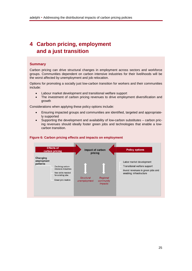# <span id="page-24-0"></span>**4 Carbon pricing, employment and a just transition**

#### **Summary**

Carbon pricing can drive structural changes in employment across sectors and workforce groups. Communities dependent on carbon intensive industries for their livelihoods will be the worst affected by unemployment and job relocation.

Options for promoting a socially just low-carbon transition for workers and their communities include:

- Labour market development and transitional welfare support
- The investment of carbon pricing revenues to drive employment diversification and growth

Considerations when applying these policy options include:

- Ensuring impacted groups and communities are identified, targeted and appropriately supported
- Supporting the development and availability of low-carbon substitutes carbon pricing revenues should ideally foster green jobs and technologies that enable a lowcarbon transition.



#### <span id="page-24-1"></span>**Figure 6: Carbon pricing effects and impacts on employment**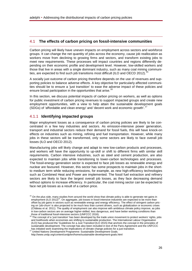# <span id="page-25-0"></span>4.1 **The effects of carbon pricing on fossil-intensive communities**

Carbon pricing will likely have uneven impacts on employment across sectors and workforce groups. It can change the net quantity of jobs across the economy, cause job reallocation as workers move from declining to growing firms and sectors, and transform existing jobs to meet new requirements. These processes will impact countries and regions differently depending on their economic profile and development level. However, low-skilled workers and those that live in areas with a single dominant industry, such as many coal mining communi-ties, are expected to find such job transitions most difficult (ILO and OECD 2012). <sup>[15](#page-25-2)</sup>

A socially just outcome of carbon pricing therefore depends on the use of revenues and supporting policies to balance adverse effects. A key objective for particularly affected communities should be to ensure a 'just transition' to ease the adverse impact of these policies and ensure broad participation in the opportunities that arise.<sup>[16](#page-25-3)</sup>

In this section, we discuss potential impacts of carbon pricing on workers, as well as options for public investment of carbon pricing revenues to support impacted groups and create new employment opportunities, with a view to help attain the sustainable development goals (SDGs) of 'affordable and clean energy' and 'decent work and economic growth'.<sup>[17](#page-25-4)</sup>

# <span id="page-25-1"></span>4.1.1 **Identifying impacted groups**

Major employment losses as a consequence of carbon pricing policies are likely to be concentrated in a few key industries and sectors. As emission-intensive power generation, transport and industrial sectors reduce their demand for fossil fuels, this will have knock-on effects on industries such as mining, refining and fuel transportation. However, while many jobs in these sectors will be transformed, only some sectors are likely to face overall job losses (ILO and OECD 2012).

Manufacturing jobs will likely change and adapt to new low-carbon products and processes, and workers will have the opportunity to up-skill or shift to different firms with similar skill requirements. Carbon intensive industries, such as steel and cement production, are also expected to maintain jobs while transitioning to lower-carbon technologies and processes. The fossil-energy generation sector is expected to face job losses as renewable energy and nuclear are favoured. However, this sector has some prospects to maintain jobs in the shortto medium term while reducing emissions, for example, as new high-efficiency technologies such as Combined Heat and Power are implemented. The fossil fuel extraction and refinery sectors are likely to face the largest overall job losses, as they face decreasing demand without options to increase efficiency. In particular, the coal mining sector can be expected to face net job losses as a result of a carbon price.

<span id="page-25-2"></span><sup>&</sup>lt;sup>15</sup> On the plus side, many studies from around the world show that climate policy is able to generate net gains in employment (ILO 2012)<sup>15</sup>. On aggregate, job losses in fossil-intensive industries are expected to be more than offset by job gains in sectors such as renewable energy and energy efficiency. The effect of stringent carbon pricing on 'job-churn' is also projected to be much less than current drivers, such as globalization or economic crises (Château et al. 2011). The quality of employment can also improve with ambitious climate policy improve, as jobs in low-carbon sectors are on average higher-skilled, less dangerous, and have better working conditions than<br>those of traditional fossil-intensive sectors (UNFCCC 2016).<br><sup>16</sup> The concept of a first transitional than the sk

<span id="page-25-3"></span>The concept of a 'just transition' has been developed by the trade union movement to protect workers' rights, jobs and livelihoods when economies are shifting to sustainable production. The International Labour Organisation (ILO) has produced the 'Guidelines for a Just Transition'(ILO 2015) that anchors the concept in the principles of sustainable development. The concept has also been included in text of the Paris Agreement and the UNFCCC has initiated work examining the implications of climate change policies for a just transition. <sup>17</sup> United Nations Development Programme: Sustainable Development Goals.

<span id="page-25-4"></span>

http://www.undp.org/content/undp/en/home/sustainable-development-goals.html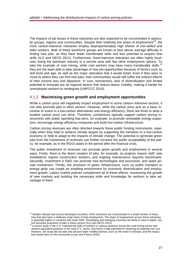The impacts of job losses in these industries are also expected to be concentrated in particu-lar groups, regions and communities. Despite their relatively low share of employment<sup>[18](#page-26-2)</sup>, the most carbon-intensive industries employ disproportionately high shares of low-skilled and older workers. Both of these workforce groups are known to face above average difficulty in finding new jobs, as they have fewer transferable skills and less potential to acquire new skills (ILO and OECD 2012). Furthermore, fossil-intensive industries are often highly localized, being the dominant industry in a remote area with few other employment options. To take the example of coal mining, while coal workers may have many transferable skills, they are the least able to take advantage of new job opportunities because of factors such as skill level and age, as well as the major relocation that it would entail. Even if they were to move to where they can find new jobs, their communities would still suffer the indirect effects of their income loss and departure. In sum, remoteness, lack of diversification and limited potential to innovate are all regional factors that reduce labour mobility, making it harder for unemployed workers to reintegrate (UNFCCC 2016).

### <span id="page-26-0"></span>4.1.2 **Maximising green growth and employment opportunities**

While a carbon price will negatively impact employment in some carbon–intensive sectors, it can also promote jobs in other sectors. However, while the carbon price acts as a basic incentive to invest in a low-carbon alternatives and energy efficiency, there are limits to what a modest carbon price can drive. Therefore, jurisdictions typically support carbon pricing instruments with public spending that aims, for example, to promote renewable energy expansion, encourage energy efficiency measures and build low-carbon infrastructure.

Carbon pricing revenues are often directed towards these public funding instruments, especially when they help to achieve climate targets by supporting the transition to a low-carbon economy or help to adapt to the impacts of climate change. The potential to generate green jobs from the investment of revenues can further increase the public acceptability of the policy, for example, as in the RGGI states in the period after the financial crisis.

The public investment of revenues can promote green growth and employment in several ways. Firstly, there is the direct creation of jobs, for example, as projects require staff, new installations require construction workers, and ongoing maintenance requires technicians. Secondly, investment in R&D can promote new technologies and processes, and spark private investment. Thirdly, the provision of green infrastructure, such as public transport or energy grids can create an enabling environment for economic diversification and employment growth. Labour market policies complement all of these effects, maximizing the growth of new markets and building the necessary skills and knowledge for workers to take advantage of them.

<span id="page-26-2"></span><span id="page-26-1"></span><sup>&</sup>lt;sup>18</sup> Studies indicate that across developed countries, GHG emissions are concentrated in a small number of industries that also have a relatively small share of total employment. The share of employment across these industries is generally higher in countries with lower GDP. Developing and emerging countries are likely to have a higher, but<br>not dominant proportion of jobs in these sectors (ILO and OECD 2012)<br><sup>19</sup> A recent study in the U.C. match

<span id="page-26-3"></span>A recent study in the U.S. matched the skills of workers in various positions across the coal mining sector with nearest equivalent positions in the solar P.V. sector, and found a high potential for retraining at relatively low cost. However, the study did not take into account labor mobility barriers, such as the need to relocate, and the impact that would have on the community (Louie and Pearce 2016)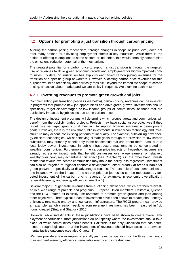# 4.2 **Options for promoting a just transition through carbon pricing**

Altering the carbon pricing mechanism, through changes in scope or price level, does not offer many options for alleviating employment effects in key industries. While there is the option of offering exemptions to some sectors or industries, this would certainly compromise the emissions reduction potential of the mechanism.

The greatest potential for a carbon price to support a just transition is through the targeted use of revenues to drive green economic growth and employment for highly-impacted communities. To date, no jurisdiction has explicitly earmarked carbon pricing revenues for the transition of a specific group of workers. However, allocating carbon price revenues for this purpose would be technically and politically feasible. Beyond the immediate scope of carbon pricing, an active labour market and welfare policy is required. We examine each in turn.

### <span id="page-27-0"></span>4.2.1 **Investing revenues to promote green growth and jobs**

Complementing just transition policies (see below), carbon pricing revenues can be invested in programs that promote new job opportunities and drive green growth. Investments should specifically target disadvantaged or low-income groups or communities, or those that are particularly impacted by job losses due to the carbon price.

The design of investment programs will determine which groups, areas and communities will benefit from the publicly-funded projects. Projects may have social justice objectives if they target disadvantaged groups or if they aim to support broader sustainable development goals. However, there is the risk that public investments in low-carbon technology and infrastructure may accentuate existing patterns of inequality. For example, subsidizing new energy efficient technologies, whilst achieving climate goals through the provision of low-carbon substitutes, may primarily benefit only those households that can afford them. Also, due to local lobby power, investments in public infrastructure may tend to be concentrated in wealthier communities. Furthermore, if the carbon price impacts on household incomes are already regressive, investments that benefit businesses over wage earners, or relatively wealthy over poor, may accentuate this effect (see Chapter 2). On the other hand, investments that favour low-income communities may make the policy less regressive. Investment can also be targeted at regional economic development, either broadly at areas suitable for green growth, or specifically at disadvantaged regions. The example of coal communities is one instance where the impact of the carbon price on job losses can be moderated by targeted investment of the carbon pricing revenue, for example, in economic diversification, renewable energy and energy efficiency (see Box 1).

Several major ETS generate revenues from auctioning allowances, which are then reinvested in a wide range of projects and programs. European Union members, California, Québec and the RGGI states all explicitly use revenues to promote green growth and jobs among other objectives. Three typical areas of investment have been shown to create jobs – energy efficiency, renewable energy and low-carbon infrastructure. The RGGI program can provide an example, as job creation resulting from revenue investment has been measured in 'job hours' created (Stutt and Shattuck 2016).

However, while investments in these jurisdictions have been shown to create overall employment opportunities, most jurisdictions do not specify where the investments should take place, or which communities should benefit. California is the only jurisdiction that has determined through legislature that the investment of revenues should have social and environmental justice outcomes (see also Chapter 3)

We here provide a few examples of socially just revenue spending for the three main kinds of investment – energy efficiency, renewable energy and infrastructure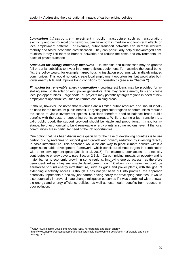*Low-carbon infrastructure –* investment in public infrastructure, such as transportation, electricity and communications networks, can have both immediate and long-term effects on local employment patterns. For example, public transport networks can increase workers' mobility and foster economic diversification. They can particularly help disadvantaged communities if they link them to broader networks and reduce the costs and environmental impacts of private transport

*Subsidies for energy efficiency measures -* Households and businesses may be granted full or partial subsidies to invest in energy-efficient equipment. To maximize the social benefits, the policy would, for example, target housing insulation programs within disadvantaged communities. This would not only create local employment opportunities, but would also both lower energy bills and improve living conditions for households (see also Chapter 2).

*Financing for renewable energy generation -* Low-interest loans may be provided for installing small scale solar or wind power generators. This may reduce energy bills and create local job opportunities. Large-scale RE projects may potentially target regions in need of new employment opportunities, such as remote coal mining areas.

It should, however, be noted that revenues are a limited public resource and should ideally be used for the maximum public benefit. Targeting particular regions or communities reduces the scope of viable investment options. Decisions therefore need to balance broad public benefits with the costs of supporting particular groups. While ensuring a just transition is a valid public good, the support provided should be viable and proportional. It may, for instance, be uneconomical to build renewable energy plants in some regions, even if the local communities are in particular need of the job opportunities.

One option that has been discussed especially for the case of developing countries is to use carbon pricing revenues to support green growth and poverty reduction by investing directly in basic infrastructure. This approach would be one way to place climate policies within a larger sustainable development framework, which considers climate targets in combination with other development goals (Jakob et al. 2016). For example, poor access to electricity contributes to energy poverty (see Section 2.1.2. – Carbon pricing impacts on poverty) and is major barrier to economic growth in some regions. Improving energy access has therefore been identified as a key sustainable development goal.<sup>[20](#page-28-1)</sup> Carbon pricing revenues could be earmarked to fund energy infrastructure, such as grids and power plants, with the goal of extending electricity access. Although it has not yet been put into practice, the approach potentially represents a socially just carbon pricing policy for developing countries. It would also potentially improve climate change mitigation outcomes if it was combined with renewable energy and energy efficiency policies, as well as local health benefits from reduced indoor pollution.

<span id="page-28-1"></span><span id="page-28-0"></span><sup>20</sup> UNDP Sustainable Development Goals 'SDG 7: Affordable and clean energy' http://www.undp.org/content/undp/en/home/sustainable-development-goals/goal-7-affordable-and-cleanenergy.html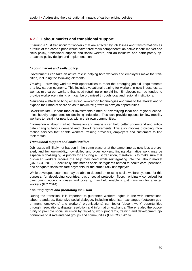## 4.2.2 **Labour market and transitional support**

Ensuring a 'just transition' for workers that are affected by job losses and transformations as a result of the carbon price would have three main components: an active labour market and skills policy, transitional support and social welfare, and an inclusive and participatory approach to policy design and implementation.

#### *Labour market and skills policy*

Governments can take an active role in helping both workers and employers make the transition, including the following elements:

*Training* – providing workers with opportunities to meet the emerging job-skill requirements of a low-carbon economy. This includes vocational training for workers in new industries, as well as mid-career workers that need retraining or up-skilling. Employers can be funded to provide workplace training or it can be organized through local and regional institutions.

*Marketing* – efforts to bring emerging low-carbon technologies and firms to the market and to expand their market share so as to maximize growth in new job opportunities.

*Diversification* – labour market investments aimed at diversifying local and regional economies heavily dependent on declining industries. This can provide options for low-mobility workers to retrain for new jobs within their own communities.

*Information* – labour market information and analysis can help better understand and anticipate changing labour demand and job-skill requirements. This also involves providing information services that enable workers, training providers, employers and customers to find their match.

#### *Transitional support and social welfare*

Job losses will likely not happen in the same place or at the same time as new jobs are created, and for low-mobility, low-skilled and older workers, finding alternative work may be especially challenging. A priority for ensuring a just transition, therefore, is to make sure that displaced workers receive the help they need while reintegrating into the labour market (UNFCCC 2016). Specifically, this means social safeguards related to health care, pensions, and adequate social welfare payments for the structurally unemployed.

While developed countries may be able to depend on existing social welfare systems for this purpose, for developing countries, basic 'social protection floors', originally conceived for overcoming economic crises and poverty, may help enable a just transition for affected workers (ILO 2014).

#### *Ensuring rights and promoting inclusion*

During the transition, it is important to guarantee workers' rights in line with international labour standards. Extensive social dialogue, including tripartisan exchanges (between government, employers' and workers' organisations) can foster 'decent work' opportunities through negotiations, dispute resolution and information exchange. There is also the opportunity to promote social inclusion by targeting work programs, training and development opportunities to disadvantaged groups and communities (UNFCCC 2016).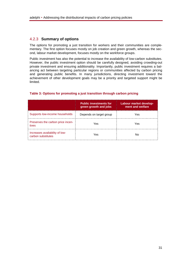# <span id="page-30-0"></span>4.2.3 **Summary of options**

The options for promoting a just transition for workers and their communities are complementary. The first option focuses mostly on job creation and green growth, whereas the second, labour market development, focuses mostly on the workforce groups.

Public investment has also the potential to increase the availability of low-carbon substitutes. However, the public investment option should be carefully designed, avoiding crowding-out private investment and ensuring additionality. Importantly, public investment requires a balancing act between targeting particular regions or communities affected by carbon pricing and generating public benefits. In many jurisdictions, directing investment toward the achievement of other development goals may be a priority and targeted support might be limited.

|                                                      | <b>Public investments for</b><br>green growth and jobs | Labour market develop-<br>ment and welfare |
|------------------------------------------------------|--------------------------------------------------------|--------------------------------------------|
| Supports low-income households                       | Depends on target group                                | Yes                                        |
| Preserves the carbon price incen-<br>tives           | Yes                                                    | Yes                                        |
| Increases availability of low-<br>carbon substitutes | Yes                                                    | N٥                                         |

#### <span id="page-30-1"></span>**Table 3: Options for promoting a just transition through carbon pricing**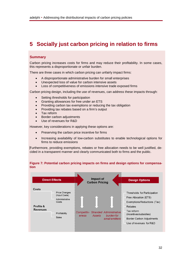# <span id="page-31-0"></span>**5 Socially just carbon pricing in relation to firms**

#### **Summary**

Carbon pricing increases costs for firms and may reduce their profitability. In some cases, this represents a disproportionate or unfair burden.

There are three cases in which carbon pricing can unfairly impact firms:

- A disproportionate administrative burden for small enterprises
- Unexpected loss of value for carbon intensive assets
- Loss of competitiveness of emissions intensive trade exposed firms

Carbon pricing design, including the use of revenues, can address these impacts through:

- Setting thresholds for participation
- Granting allowances for free under an ETS
- Providing carbon tax exemptions or reducing the tax obligation
- Providing tax rebates based on a firm's output
- Tax reform
- Border carbon adjustments
- Use of revenues for R&D

However, key considerations in applying these options are:

- Preserving the carbon price incentive for firms
- Increasing availability of low-carbon substitutes to enable technological options for firms to reduce emissions

Furthermore, providing exemptions, rebates or free allocation needs to be well justified, decided in a transparent manner and clearly communicated both to firms and the public.

#### <span id="page-31-1"></span>**Figure 7: Potential carbon pricing impacts on firms and design options for compensation**

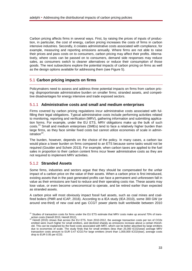Carbon pricing affects firms in several ways. First, by raising the prices of inputs of production, in particular, the cost of energy, carbon pricing increases the costs of firms in carbon intensive industries. Secondly, it creates administrative costs associated with compliance, for example, measuring and reporting emissions annually. Where firms are not able to raise their prices and pass costs on to consumers, carbon pricing may affect their profits. Alternatively, where costs can be passed on to consumers, demand side responses may reduce sales, as consumers switch to cleaner alternatives or reduce their consumption of those goods. The next subsections explore the potential impacts of carbon pricing on firms as well as the design options available for addressing them (see Figure 5).

# <span id="page-32-0"></span>5.1 **Carbon pricing impacts on firms**

Policymakers need to assess and address three potential impacts on firms from carbon pricing: disproportionate administrative burden on smaller firms; stranded assets, and competitive disadvantages for energy intensive and trade exposed sectors.

# <span id="page-32-1"></span>5.1.1 **Administrative costs and small and medium enterprises**

Firms covered by carbon pricing regulations incur administrative costs associated with fulfilling their legal obligations. Typical administrative costs include performing activities related to monitoring, reporting and verification (MRV), gathering information and submitting application forms. For example, under the EU ETS, MRV obligations make up the bulk of such costs.<sup>[21](#page-32-3)</sup> Small and medium enterprises (SMEs) tend to face a relatively higher burden than large firms, as they face similar fixed costs but cannot utilize economies of scale in administration $^{22}$ .

The burden, however, depends on the choice of the policy. In many cases, a carbon tax would place a lower burden on firms compared to an ETS because some tasks would not be required (Goulder and Schein 2013). For example, when carbon taxes are applied to the fuel sales in proportion to their carbon content firms incur fewer administrative costs as they are not required to implement MRV activities.

## <span id="page-32-2"></span>5.1.2 **Stranded Assets**

Some firms, industries and sectors argue that they should be compensated for the unfair impact of a carbon price on the value of their assets. When a carbon price is first introduced, existing assets that in the past generated profits can face a permanent and unforeseen fall in value as their emissions are hard to reduce and their operating costs rise. These assets may lose value, or even become uneconomical to operate, and be retired earlier than expected as stranded assets.

A carbon price will most obviously impact fossil fuel assets, such as coal mines and coalfired boilers (PMR and ICAP, 2016). According to a IEA study (IEA 2010), some 300 GW (or around one-third) of new coal and gas CCGT power plants built worldwide between 2010

<span id="page-32-4"></span><span id="page-32-3"></span><sup>&</sup>lt;sup>21</sup> Studies of transaction costs for firms under the EU ETS estimate that MRV costs make up around 70% of trans-<br>action costs (Heindl 2015; Heindl 2012)<br>2011 - 2011 - 2011 - 2012 - 2014 - 2014 - 2014 - 2014 - 2014 - 2014

Heindl (2015) shows that across the EU ETS, from 2010-2012, the average transaction costs per ton of CO2e emitted were much higher for small emitters, and declined sharply as emissions increase above a certain threshold. This can be explained by the fixed costs associated with MRV, which can be better absorbed by large emitters due to economies of scale. The study finds that for small emitters (less than 25,000 tCO2/year) average MRV transaction costs amount to EUR 0.47 tCO2.For large emitters (more than 1,000,000 tCO2/year), average costs drop to EUR 0.05 per tCO2.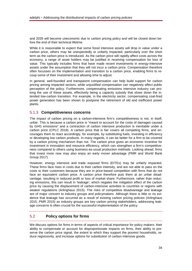and 2035 will become uneconomic due to carbon pricing policy and will be closed down before the end of their technical lifetime.

While it is reasonable to expect that some fossil intensive assets will drop in value under a carbon price, others may be unexpectedly or unfairly impacted, particularly over the short term as the carbon price is introduced. As the carbon price will rapidly affect costs across the economy, a range of asset holders may be justified in receiving compensation for loss of value. This typically includes firms that have made recent investments in energy-intensive assets under the assumption that they will not incur a carbon price. Compensation therefore often focusses on the implementation and transition to a carbon price, enabling firms to recoup some of their investment and allowing time to adjust.

In general, well-founded and transparent compensation can help build support for carbon pricing among impacted sectors, while unjustified compensation can negatively affect public perception of the policy. Furthermore, compensating emissions intensive industry can prolong the use of these assets, effectively being a capacity subsidy that slows down the intended low-carbon transition. For example, in the electricity sector, compensating coal-fired power generation has been shown to postpone the retirement of old and inefficient power plants.

## <span id="page-33-0"></span>5.1.3 **Competitiveness concerns**

The impact of carbon pricing on a carbon-intensive firm's competitiveness is not, in itself, unfair. This is because a carbon price is "meant to account for the costs of damages caused by GHG emissions" and a contraction of carbon intensive production is inevitable under a carbon price (CPLC 2016). A carbon price that is fair covers all competing firms, and encourages them to react accordingly, for example, by substituting fuels, investing in efficiency or developing low carbon products. In many regards, it can be better for a firm to be covered by a carbon pricing mechanism than not. The carbon price gives an economic incentive for investment in innovation and resource efficiency, which can strengthen a firm's competitiveness compared to others using business-as-usual production methods. Looking ahead, firms that invest more now may also enjoy an early mover advantage (PMR and World Bank Group 2017)

However, energy intensive and trade exposed firms (EITEs) may be unfairly impacted. These firms face rises in costs due to their carbon intensity, and are not able to pass on the costs to their customers because they are in price-based competition with firms that do not face an equivalent carbon price. A carbon price therefore puts them at an unfair disadvantage, resulting in reduced profit or loss of market share. Furthermore, rather than reducing emissions, this can result in 'leakage', which negates the mitigation effect of the carbon price by causing the displacement of carbon-intensive activities to countries or regions with weaker regulations (Arlinghaus 2015). The risks of competitive disadvantage and leakage are of major concern to industry groups and policymakers. Although there is little or no evidence that leakage has occurred as a result of existing carbon pricing policies (Arlinghaus 2015; PMR 2015) as industry groups are key carbon pricing stakeholders, addressing leakage concerns is often crucial for the successful implementation of the policy.

# <span id="page-33-1"></span>5.2 **Policy options for firms**

We discuss options for firms in terms of aspects of critical importance for policy makers: their ability to compensate or account for disproportionate impacts on firms, their ability to preserve the carbon price signal, the extent to which they support the poorest households, reduce regressivity, and increase options for substitution of carbon intensive goods.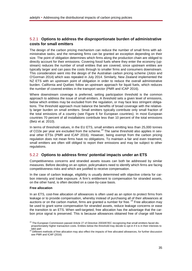# <span id="page-34-0"></span>5.2.1 **Options to address the disproportionate burden of administrative costs for small emitters**

The design of the carbon pricing mechanism can reduce the number of small firms with administrative tasks, and the remaining firms can be granted an exception depending on their size. The point of obligation determines which firms along the production chain are obliged to directly account for their emissions. Covering fossil fuels where they enter the economy (upstream) reduces the number of small entities that are covered, since upstream entities are typically larger and can pass the costs through to smaller firms and consumers downstream. This consideration went into the design of the Australian carbon pricing scheme (Jotzo and O'Gorman 2014) which was repealed in July 2014. Similarly, New Zealand implemented the NZ ETS with an upstream point of obligation in order to reduce the overall administrative burden. California and Québec follow an upstream approach for liquid fuels, which reduces the number of covered entities in the transport sector (PMR and ICAP 2016).

Where downstream coverage is preferred, setting participation threshold is the common approach to address the issue of small emitters. A threshold sets a given level of emissions, below which entities may be excluded from the regulation, or may face less stringent obligations. The threshold approach must balance the benefits of broad coverage with the relatively larger burden on small emitters. Small emitters typically contribute only small fraction of the total emissions of a country (see Figure 6 for European countries). In most European countries 70 percent of all installations contribute less than 10 percent of the total emissions (Betz et al. 2010).

In terms of threshold values, in the EU ETS, small emitters emitting less than 25,000 tonnes of CO2e per year are excluded from the scheme. $^{23}$  $^{23}$  $^{23}$  The same threshold also applies in several other ETSs (PMR and ICAP 2016). However, being exempt from the carbon pricing regulation does not mean firms have no obligations. To maintain a fair and even treatment, small emitters are often still obliged to report their emissions and may be subject to other regulations.

# <span id="page-34-1"></span>5.2.2 **Options to address firms' potential impacts under an ETS**

Competitiveness concerns and stranded assets issues can both be addressed by similar measures. Before deciding on an option, policymakers need to identify which firms are facing competitiveness risks and which are justified to receive compensation.

In the case of carbon leakage, eligibility is usually determined with objective criteria for carbon intensity and trade exposure. A firm's entitlement to compensation for stranded assets, on the other hand, is often decided on a case-by-case basis.

#### **Free allocation**

In an ETS, cost-free allocation of allowances is often used as an option to protect firms from leakage or to provide compensation, whereby instead of purchasing all of their allowances at auctions or on the carbon market, firms are granted a number for free.  $24$  Free allocation may be used to grant some compensation for stranded assets, reduce leakage concerns or ease the transition to an ETS. When well-targeted, free allocation has the advantage that the carbon price signal is preserved. This is because allowances obtained free of charge still have

<span id="page-34-2"></span><sup>&</sup>lt;sup>23</sup> The European Commission passed Article 27 of Directive 2003/87/EC recognizing that small emitters faced disproportionately higher transaction costs. Entities below the threshold may decide to opt-in if it is in their interests to take part

<span id="page-34-3"></span><sup>&</sup>lt;sup>24</sup> Different methods of free allocation may also effect the impacts of free allocated allowances, for further discussion see PMR and ICAP (2016)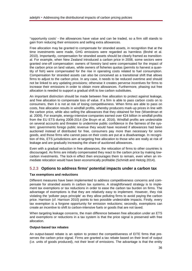''opportunity costs' - the allowances have value and can be traded, so a firm still stands to gain from reducing their emissions and selling extra allowances.

Free allocation may be granted to compensate for stranded assets, in recognition that at the time investments were made, GHG emissions were regarded as harmless (Brohé et al. 2010). Importantly, compensation for stranded assets should be clearly framed as transitional. For example, when New Zealand introduced a carbon price in 2008, some sectors were granted one-off compensation: owners of forestry land were compensated for the impact of the carbon price on land values, while owners of fisheries quotas (permits to harvest a quantity of fish) were compensated for the rise in operating costs related to fuel consumption. Compensation for stranded assets can also be conceived as a transitional shift that allows firms to adjust to the carbon price. In any case, it needs to be reduced overtime and should not be linked to any updating provisions; otherwise it creates perverse incentives for firms to increase their emissions in order to obtain more allowances. Furthermore, phasing out free allocation is needed to support a gradual shift to low carbon substitutes.

An important distinction should be made between free allocation to protect against leakage, and free allocation to compensate loss of value. If a firm is able to pass carbon costs on to consumers, then it is not at risk of losing competitiveness. When firms are able to pass on costs, free allocation results in windfall profits, whereby producers mark-up prices in line with the carbon price, while also selling the allowances that they obtained for free (Woerdman et al. 2009). For example, energy-intensive companies earned over €24 billion in windfall profits from the EU ETS during 2008-2014 (De Bruyn et al. 2016). Windfall profits are undesirable on several accounts and threaten to undermine public confidence in the fairness of the system: governments forego public revenue they would have received if allowances had been auctioned instead of distributed for free, consumers pay more than necessary for some goods, and those firms who cannot pass on their costs are put at a disadvantage. In recognition of this, ETS jurisdictions aim at targeting free allocation to those who are really at risk of leakage and are gradually increasing the share of auctioned allowances.

Even with a gradual reduction in free allowances, the relocation of firms to other countries is discouraged. As firms are initially compensated they react to the carbon price by making lowcarbon investments. The lock-in effect then encourages them to remain, even when an immediate relocation would have been economically profitable (Schmidt and Heitzig 2014).

## <span id="page-35-0"></span>5.2.3 **Options to address firms' potential impacts under a carbon tax**

#### **Tax exemptions and reductions**

Different measures have been implemented to address competitiveness concerns and compensate for stranded assets in carbon tax systems. A straightforward strategy is to implement tax exemptions or tax reductions in order to ease the carbon tax burden on firms. The advantage of exemptions is that they are relatively easy to implement. However, they risk violating the 'polluter pays principle' as they allow polluting firms to avoid paying the carbon price. Harrison (cf. Harrison 2010) points to two possible undesirable impacts. Firstly, every tax exemption is a forgone opportunity for emission reductions; secondly, exemptions can create an incentive to shift to carbon-intensive fuels or goods that are not taxed.

When targeting leakage concerns, the main difference between free allocation under an ETS and exemptions or reductions in a tax system is that the price signal is preserved with free allocation.

#### **Output-based tax rebates**

An output-based rebate is an option to protect the competitiveness of EITE firms that preserves the carbon price signal. Firms are granted a tax rebate based on their level of output (i.e. units of goods produced), not their level of emissions. The advantage is that the entity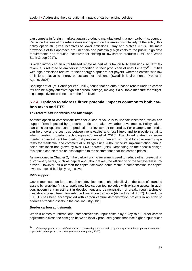can compete in foreign markets against products manufactured in a non-carbon tax country. Yet since the size of the rebate does not depend on the emissions intensity of the entity, this policy option still gives incentives to lower emissions (Gray and Metcalf 2017). The main drawbacks of this approach are uncertain and potentially high costs to the public, high data requirements and reduced incentives for shifting to low-carbon products (PMR and World Bank Group 2017).

Sweden introduced an output-based rebate as part of its tax on NOx emissions. All NOx tax revenue is returned to emitters in proportion to their production of useful energy<sup>25</sup>. Entities with high emissions relative to their energy output are net payers, whereas entities with low emissions relative to energy output are net recipients (Swedish Environmental Protection Agency 2006).

Böhringer et al. (cf. Böhringer et al. 2017) found that an output-based rebate under a carbon tax can be highly effective against carbon leakage, making it a suitable measure for mitigating competitiveness concerns at the firm level.

# <span id="page-36-0"></span>5.2.4 **Options to address firms' potential impacts common to both carbon taxes and ETS**

#### **Tax reform: tax incentives and tax swaps**

Another option to compensate firms for a loss of value is to use tax incentives, which can support firms impacted by the carbon price to make low-carbon investments. Policymakers can consider options such as production or investment tax credits. For example, tax credits can help lower the cost gap between renewables and fossil fuels and to provide certainty when investing in certain technologies (Cohen et al. 2015). The United States has implemented an investment tax credit that provides a 30 percent tax credit for solar energy systems for residential and commercial buildings since 2006. Since its implementation, annual solar installation has grown by over 1,600 percent (ibid). Depending on the specific design, this option can be more or less targeted to the sectors that bear the carbon prices.

As mentioned in Chapter 2, if the carbon pricing revenue is used to reduce other pre-existing distortionary taxes, such as capital and labour taxes, the efficiency of the tax system is improved. However, as a carbon-for-capital tax swap could result in compensation for capital owners, it could be highly regressive.

#### **R&D support**

Government support for research and development might help alleviate the issue of stranded assets by enabling firms to apply new low-carbon technologies with existing assets. In addition, government investment in development and demonstration of breakthrough technologies shows commitment towards the low-carbon transition (Acworth et al. 2017). Indeed, the EU ETS has been accompanied with carbon capture demonstration projects in an effort to address stranded assets in the coal industry (ibid).

#### **Border carbon adjustments**

When it comes to international competitiveness, input costs play a key role. Border carbon adjustments close the cost gap between locally produced goods that face higher input prices

<span id="page-36-1"></span> $25$  Useful energy produced is a definition used to reasonably measure and compare output from heterogeneous activities: paper mills, power plants, and other (Sterner and Höglund, 2000)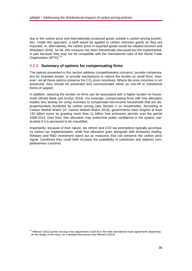due to the carbon price and internationally produced goods outside a carbon pricing jurisdiction. Under this approach, a tariff would be applied to carbon intensive goods as they are imported, or, alternatively, the carbon price of exported goods would be rebated (Kortum and Weisbach 2016). So far, this measure has been theoretically discussed but not implemented, in part because they may not be compatible with the international rules of the World Trade Organization (WTO).<sup>[26](#page-37-1)</sup>

# <span id="page-37-0"></span>5.2.5 **Summary of options for compensating firms**

The options presented in this section address competitiveness concerns, provide compensation for stranded assets, or provide mechanisms to reduce the burden on small firms. However, not all these options preserve the  $CO<sub>2</sub>$  price incentives. Where the price incentive is not preserved, they should be presented and communicated either as one-off or transitional forms of support.

In addition, reducing the burden on firms can be associated with a higher burden on households (World Bank and Ecofys 2014). For example, compensating firms with free allocation implies less leeway for using revenues to compensate low-income households that are disproportionately burdened by carbon pricing (see Section 1 on households). According to Carbon Market Watch (cf. Carbon Market Watch 2016), governments have forgone at least 135 billion euros by granting more than 11 billion free emissions permits over the period 2008-2014. Over time, free allocation may undermine public confidence in the system, particularly if it is perceived to be unjustified.

Importantly, because of their nature, tax reform and CO2 tax exemptions typically accompany carbon tax implementation, while free allocation goes alongside with emissions trading. Rebates and R&D investment stand out as measures that can preserve the carbon price signal. Combined they could both increase the availability of substitutes and address competitiveness concerns.

<span id="page-37-1"></span><sup>&</sup>lt;sup>26</sup> Hillmann (2013) points out ways how adjustments could be in line with international trade agreements depending on the design of the taxes, for a detailed discussions see Hillmann (2013).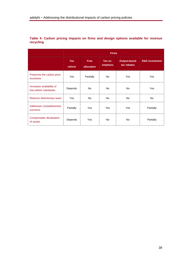|                                                     | <b>Firms</b>         |                           |                     |                                    |                           |
|-----------------------------------------------------|----------------------|---------------------------|---------------------|------------------------------------|---------------------------|
|                                                     | <b>Tax</b><br>reform | <b>Free</b><br>allocation | Tax ex-<br>emptions | <b>Output-based</b><br>tax rebates | <b>R&amp;D investment</b> |
| Preserves the carbon price<br>incentives            | Yes                  | Partially                 | No                  | Yes                                | Yes                       |
| Increases availability of<br>low-carbon substitutes | Depends              | No                        | No                  | <b>No</b>                          | Yes                       |
| Reduces distortionary taxes                         | <b>Yes</b>           | N <sub>o</sub>            | No.                 | N <sub>o</sub>                     | No.                       |
| Addresses competitiveness<br>concerns               | Partially            | Yes                       | Yes                 | Yes                                | Partially                 |
| Compensates devaluation<br>of assets                | Depends              | Yes                       | No                  | <b>No</b>                          | Partially                 |

<span id="page-38-0"></span>**Table 4: Carbon pricing impacts on firms and design options available for revenue recycling**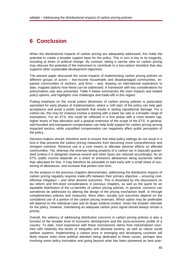# <span id="page-39-0"></span>**6 Conclusion**

When the distributional impacts of carbon pricing are adequately addressed, this holds the potential to create a broader support base for the policy. This in turn is key to its longevity, including at times of political change. By contrast, taking a narrow view on carbon pricing may obscure the potential of the instrument to contribute to a low-carbon transition that also supports other sustainable development objectives.

The present paper discussed the social impacts of implementing carbon pricing policies on different groups of actors – low-income households and disadvantaged communities, impacted communities of workers, and firms – and, drawing on international experience to date, mapped options how these can be addressed. A framework with key considerations for policymakers was also presented. Table 5 below summarizes the main impacts and related policy options, and highlights core challenges and trade-offs in this regard.

Putting emphasis on the social justice dimension of carbon pricing policies is particularly warranted for early phases of implementation, where a 'soft start' of the policy can help gain acceptance and avoid a public backlash that results in lasting reputational damage. For a carbon tax, this may for instance involve a starting with a lower tax rate or a broader range of exemptions. For an ETS, this could be reflected in a first phase with a more lenient cap, higher levels of free allocation and a gradual extension of the scope of the ETS. In general, well-founded and transparent compensation can help build support for carbon pricing among impacted sectors, while unjustified compensation can negatively affect public perception of the policy.

Decision-makers should, therefore work to ensure that initial policy settings do not result in a lock-in that prevents the carbon pricing measures from becoming more comprehensive and stringent overtime. Revenue use is a core means to alleviate adverse effects on affected communities. Yet, whereas the revenue-raising property of a carbon tax is basically guaranteed (unless it is designed revenue-neutral and other taxes are reduced accordingly), for an ETS, public income depends on a share of emissions allowances being auctioned rather than allocated for free. It may therefore be advisable to start early with a small share of auctioning of allowances, and increase that portion over time.

As the analysis in the previous chapters demonstrates, addressing the distributive impacts of carbon pricing regularly requires trade-offs between their primary objective – ensuring costeffective mitigation – and other desired outcomes. This is illustrated by the discussions on tax reform and firm-level considerations in previous chapters, as well as the quest for an equitable distribution of the co-benefits of carbon pricing policies. In general, concerns can sometimes be addressed by altering the design of the pricing mechanism itself, or through complementary policies and measures. More often, socially just outcomes depend on the considered use of a portion of the carbon pricing revenues. Which option may be preferable will depend on the individual case and its larger political context. Given the broader rationale for the policy, however, maintaining an adequate carbon price signal should always remain a priority.

Overall, the saliency of addressing distributive concerns in carbon pricing policies is also a function of the broader level of economic development and the socio-economic profile of a country. To date, most experience with these mechanisms stems from industrialized countries with relatively low levels of inequality and absolute poverty, as well as robust social welfare systems. Implementing a carbon price in emerging and developing countries will likely require even more political attention being dedicated to these issues, perhaps also involving some policy innovation and going beyond what has been pioneered as best prac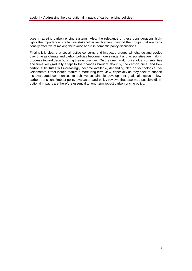tices in existing carbon pricing systems. Also, the relevance of these considerations highlights the importance of effective stakeholder involvement, beyond the groups that are traditionally effective at making their voice heard in domestic policy discussions.

Finally, it is clear that social justice concerns and impacted groups will change and evolve over time as climate and carbon policies become more stringent and as societies are making progress toward decarbonizing their economies. On the one hand, households, communities and firms will gradually adapt to the changes brought about by the carbon price, and lowcarbon substitutes will increasingly become available, depending also on technological developments. Other issues require a more long-term view, especially as they seek to support disadvantaged communities to achieve sustainable development goals alongside a lowcarbon transition. Robust policy evaluation and policy reviews that also map possible distributional impacts are therefore essential to long-term robust carbon pricing policy.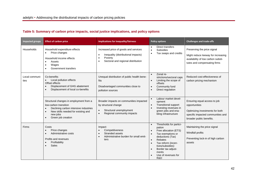<span id="page-41-0"></span>

| <b>Impacted groups</b> | <b>Effect of carbon price</b>                                                                                                                                                     | <b>Implications for inequality/fairness</b>                                                                                                                          | <b>Policy options</b>                                                                                                                                                                                                                           | <b>Challenges and trade-offs</b>                                                                                                                  |
|------------------------|-----------------------------------------------------------------------------------------------------------------------------------------------------------------------------------|----------------------------------------------------------------------------------------------------------------------------------------------------------------------|-------------------------------------------------------------------------------------------------------------------------------------------------------------------------------------------------------------------------------------------------|---------------------------------------------------------------------------------------------------------------------------------------------------|
| Households             | Household expenditure effects<br>Price changes<br>Household income effects<br>Assets<br>Wages<br>Government transfers                                                             | Increased price of goods and services<br>Inequality (distributional impacts)<br>$\bullet$<br>Poverty<br>$\bullet$<br>Sectoral and regional distribution<br>$\bullet$ | Direct transfers<br><b>Subsidies</b><br>Tax swaps and credits                                                                                                                                                                                   | Preserving the price signal<br>Might reduce leeway for increasing<br>availability of low carbon substi-<br>tutes and compensating firms           |
| Local communi-<br>ties | Co-benefits<br>Local pollution effects<br>Offset effects<br>Displacement of GHG abatement<br>Displacement of local co-benefits                                                    | Unequal distribution of public health bene-<br>fits<br>Disadvantaged communities close to<br>pollution sources                                                       | Zonal re-<br>$\bullet$<br>strictions/sectoral caps<br>Limiting the scope of<br>$\bullet$<br>offsets<br>Community fund<br>Direct regulation                                                                                                      | Reduced cost-effectiveness of<br>carbon pricing mechanism                                                                                         |
|                        | Structural changes in employment from a<br>low-carbon transition<br>Declining carbon intensive industries<br>New skills needed for existing and<br>new jobs<br>Green job creation | Broader impacts on communities impacted<br>by structural change<br>Structural unemployment<br>$\bullet$<br>Regional community impacts<br>$\bullet$                   | Labour market devel-<br>$\bullet$<br>opment<br><b>Transitional support</b><br>Investing revenues in<br>green jobs and ena-<br>bling infrastructure                                                                                              | Ensuring equal access to job<br>opportunities<br>Optimizing investments for both<br>specific impacted communities and<br>broader public benefits. |
| Firms                  | Costs<br>Price changes<br>Administrative costs<br>Profits and revenues<br>Profitability<br>Sales                                                                                  | Impact:<br>Competitiveness<br>Stranded assets<br>Administrative burden for small emit-<br>$\bullet$<br>ters                                                          | Thresholds for partici-<br>$\bullet$<br>pation<br>Free allocation (ETS)<br>Tax exemptions or<br>deductions (Tax)<br>Rebates<br>$\bullet$<br>Tax reform (incen-<br>tives/subsidies)<br>Border tax adjust-<br>ments<br>Use of revenues for<br>R&D | Maintaining the price signal<br>Windfall profits<br>Preventing lock-in of high carbon<br>assets                                                   |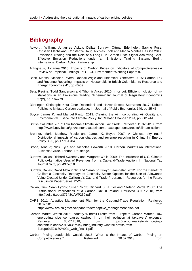# **Bibliography**

- Acworth, William; Johannes Ackva; Dallas Burtraw; Ottmar Edenhofer; Sabine Fuss; Christian Flachsland; Constanze Haug; Nicolas Koch and Mariza Montes De Oca 2017: Emissions Trading and the Role of a Long-Run Carbon Price Signal Achieving Cost-Effective Emission Reductions under an Emissions Trading System. Berlin: International Carbon Action Partnership.
- Arlinghaus, Johanna 2015: Impacts of Carbon Prices on Indicators of Competitiveness.A Review of Empirical Findings. In: OECD Environment Working Papers 87.
- Beck, Marisa; Nicholas Rivers; Randall Wigle and Hidemichi Yonezawa 2015: Carbon Tax and Revenue Recycling: Impacts on Households in British Columbia. In: Resource and Energy Economics 41, pp.40-69.
- Betz, Regina; Todd Sanderson and Tihomir Ancev 2010: In or out: Efficient Inclusion of Installations in an Emissions Trading Scheme? In: Journal of Regulatory Economics 37(2), pp. 162–79.
- Böhringer, Christoph; Knut Einar Rosendahl and Halvor Briseid Storrøsten 2017: Robust Policies to Mitigate Carbon Leakage. In: Journal of Public Economics 149, pp.35-46.
- Boyce, James K. and Manuel Pastor 2013: Clearing the Air.Incorporating Air Quality and Environmental Justice into Climate Policy. In: Climatic Change 120:4, pp. 801–14.
- British Columbia 2017: Low Income Climate Action Tax Credit. Retrieved 15.02.2018, from http://www2.gov.bc.ca/gov/content/taxes/income-taxes/personal/credits/climate-action.
- Brenner, Mark; Matthew Riddle and James K. Boyce 2007. A Chinese sky trust? Distributional impacts of carbon charges and revenue recycling in China. In: Energy Policy 35:3, pp.1771-1784.
- Brohé, Arnaud; Nick Eyre and Nicholas Howarth 2010: Carbon Markets.An International Business Guide. London: Routledge.
- Burtraw, Dallas; Richard Sweeney and Margaret Walls 2009: The Incidence of U.S. Climate Policy.Alternative Uses of Revenues from a Cap-and-Trade Auction. In: National Tay Journal 62:3, pp. 497–518.
- Burtraw, Dallas; David Mclaughlin and Sarah Jo Fueyo Szambelan 2012: For the Benefit of California Electricity Ratepayers: Electricity Sector Options for the Use of Allowance Value Created Under California's Cap-and-Trade Program. In Resources for the Future Discussion Paper Series 12-24.
- Callan, Tim; Seán Lyons; Susan Scott; Richard S. J. Tol and Stefano Verde 2008: The Distributional Implications of a Carbon Tax in Ireland. Retrieved 30.07.2018, from http://aei.pitt.edu/87748/1/WP250.pdf.
- CARB 2011: Adaptive Management Plan for the Cap-and-Trade Regulation. Retrieved 30.07.2018, from https://www.arb.ca.gov/cc/capandtrade/adaptive\_management/plan.pdf.
- Carbon Market Watch 2016: Industry Windfall Profits from Europe 's Carbon Market. How energy-intensive companies cashed in on their pollution at taxpayers' expense. Retrieved 30.07.2018, from https://carbonmarketwatch.org/wpcontent/uploads/2016/03/Policy-brief\_Industry-windfall-profits-from-Europe%E2%80%99s\_web\_final-1.pdf .
- Carbon Pricing Leadership Coalition2016: What Is the Impact of Carbon Pricing on Competitiveness ? Retrieved 30.07.2018, from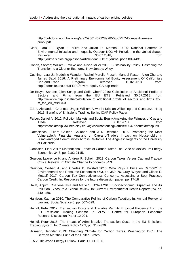http://pubdocs.worldbank.org/en/759561467228928508/CPLC-Competitivenessprint2.pdf.

- Clark, Lara P.; Dylan B. Millet and Julian D. Marshall 2014: National Patterns in Environmental Injustice and Inequality.Outdoor NO2 Air Pollution in the United States.<br>Retrieved 600 17 2018 Retrieved 30.07.2018, http://journals.plos.org/plosone/article?id=10.1371/journal.pone.0094431.
- Cohen, Steven; William Eimicke and Alison Miller 2015: Sustainability Policy. Hastening the Transition to a Cleaner Economy. New Jersey: Wiley.
- Cushing, Lara J.; Madeline Wander; Rachel Morello-Frosch; Manuel Pastor; Allen Zhu and James Sadd 2016: A Preliminary Environmental Equity Assessment Of California's Cap-and-Trade Program. Retrieved 15.02.2018 from: http://dornsife.usc.edu/PERE/enviro-equity-CA-cap-trade.
- De Bruyn, Sander; Ellen Schep and Sofia Cherif 2016: Calculation of Additional Profits of Sectors and Firms from the EU ETS. Retrieved 30.07.2018, from http://www.ce.nl/publicatie/calculation\_of\_additional\_profits\_of\_sectors\_and\_firms\_fro m\_the\_eu\_ets/1763.
- Eden, Alexander; Charlotte Unger; William Acworth; Kristian Wilkening and Constanze Haug 2016: Benefits of Emissions Trading. Berlin: ICAP Policy Paper.
- Farber, Daniel A. 2012: Pollution Markets and Social Equity.Analyzing the Fairness of Cap and Trade. Retrieved 30.07.2018, from https://scholarship.law.berkeley.edu/cgi/viewcontent.cgi?article=3047&context=facpubs.
- Gattaciecca, Julien; Colleen Callahan and J R Deshazo. 2016: Protecting the Most Vulnerable.A Financial Analysis of Cap-and-Trade's Impact on Household's in Disadvantaged Communities Across California. Los Angeles: Regents of the University of California
- Gonzalez, Fidel 2012: Distributional Effects of Carbon Taxes.The Case of Mexico. In: Energy Economics 34:6, pp. 2102-2115.
- Goulder, Lawrence H. and Andrew R. Schein 2013: Carbon Taxes Versus Cap and Trade.A Critical Review. In: Climate Change Economics 04:3.
- Grainger, Corbett A. and Charles D. Kolstad 2010: Who Pays a Price on Carbon? In: Environmental and Resource Economics 46:3, pp. 359–76. Gray, Wayne and Gilbert E. Metcalf 2017: Carbon Tax Competitiveness Concerns. Assessing a Best Practices Carbon Credit. In: Resources for the future discussion paper, pp. 17-18
- Hajat, Anjum; Charlene Hsia and Marie S. O'Neill 2015: Socioeconomic Disparities and Air Pollution Exposure.A Global Review. In: Current Environmental Health Reports 2:4, pp. 440–450.
- Harrison, Kathryn 2010: The Comparative Politics of Carbon Taxation. In: Annual Review of Law and Social Science 6, pp. 507–529.
- Heindl, Peter 2012: Transaction Costs and Tradable Permits.Empirical Evidence from the EU Emissions Trading Scheme. In: ZEW - Centre for European Economic ResearchDiscussion Paper 12-021.

Heindl, Peter 2015: The Impact of Administrative Transaction Costs in the EU Emissions Trading System. In: Climate Policy 17:3, pp. 314–329.

- Hillmann, Jennifer 2013: Changing Climate for Carbon Taxes. Washington D.C.: The German Marshall Fund of the United States.
- IEA 2010: World Energy Outlook. Paris: OECD/IEA.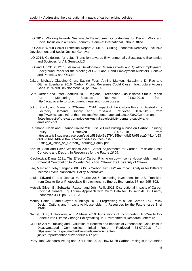ILO 2012: Working towards Sustainable Development.Opportunities for Decent Work and Social Inclusion in a Green Economy. Geneva: International Labour Office.

ILO 2014: World Social Protection Report 2014/15. Building Economic Recovery, Inclusive Development and Social Justice. Geneva.

- ILO 2015: Guidelines for a Just Transition towards Environmentally Sustainable Economies and Societies for All. Geneva:ILO
- ILO and OECD 2012: Sustainable Development, Green Growth and Quality Employment. Background Paper for the Meeting of G20 Labour and Employment Ministers. Geneva and Paris:ILO and OECD
- Jakob, Michael; Claudine Chen; Sabine Fuss; Annika Marxen; Narasimha D. Rao and Ottmar Edenhofer 2016: Carbon Pricing Revenues Could Close Infrastructure Access Gaps. In: World Development 84, pp. 254–65.
- Stutt, Jordan and Peter Shattuck 2016: Regional Greenhouse Gas Initiative Status Report<br>Part 1. Measuring Success. Retrieved 01.02.2018. from: Part I.Measuring Success. Retrieved 01.02.2018, from: http://acadiacenter.org/document/measuring-rggi-success.
- Jotzo, Frank, and Marianna O'Gorman 2014: Impact of the Carbon Price on Australia ' s Electricity Demand, Supply and Emissions. Retrieved 30.07.2018, from http://www.lse.ac.uk/GranthamInstitute/wp-content/uploads/2014/08/OGorman-and-Jotzo-Impact-of-the-carbon-price-on-Australias-electricity-demand-supply-andemissions.pdf.
- Kaufmann, Noah and Eleanor Krause 2016: Issue Brief Putting a Price on Carbon.Ensuring Equity. Retrieved 30.07.2018, from https://static1.squarespace.com/static/588eb46a579fb35be4fd8d67/t/58aca0f4414fb53 d680936be/1487708425854/World-Resources-Inst-Putting\_a\_Price\_on\_Carbon\_Ensuring\_Equity.pdf.
- Kortum, Sam and David Weisbach 2016: Border Adjustments for Carbon Emissions.Basic Concepts and Design. In:Resources for the Future *16:09*.
- Krechowicz, Dana 2011: The Effect of Carbon Pricing on Low-Income Households , and Its Potential Contribution to Poverty Reduction. Ottawa: the University of Ottawa.
- Lee, Marc and Toby Sanger 2008: Is BC's Carbon Tax Fair? An Impact Analysis for Different Income Levels. Vancouver: Policy Alternatives.
- Louie, Edward P. and Joshua M. Pearce 2016: Retraining Investment for U.S. Transition from Coal to Solar Photovoltaic Employment. In: Energy Economics 57, pp. 295–302.
- Metcalf, Gilbert E.; Sebastian Rausch and John Reilly 2011: Distributional Impacts of Carbon Pricing.A General Equilibrium Approach with Micro Data for Households. In: Energy Economics 33:1, pp. S20-S33*.*
- Morris, Daniel F and Clayton Munnings 2013: Progressing to a Fair Carbon Tax. Policy Design Options and Impacts to Households. In: Resources for the Future Issue Brief 13-03.
- Nemet, G F.; T Holloway, and P Meier 2010: Implications of Incorporating Air-Quality Co-Benefits into Climate Change Policymaking. In: Environmental Research Letters 5:1.
- OEHHA 2017: Tracking and Evaluation of Benefits and Impacts of Greenhouse Gas Limits in Disadvantaged Communities. Initial Report. Retrieved 31.07.2018 from https://oehha.ca.gov/media/downloads/environmentaljustice/report/oehhaab32report020217.pdf.

Parry, Ian; Chandara Veung and Dirk Heine 2014: How Much Carbon Pricing Is in Countries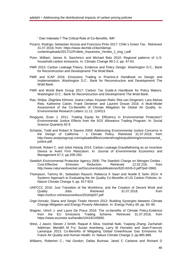' Own Interests ? The Critical Role of Co-Benefits. IMF*.*

- Pizarro, Rodrigo; Sebastian Ainzúa and Francisco Pinto 2017: Chile´s Green Tax. Retrieved 31.07.2018, from: https://www.4echile.cl/4echile/wpcontent/uploads/2017/12/Folleto\_Impuestos\_Verdes\_1\_eng\_t.pdf
- Pizer, William; James N. Sanchirico and Michael Batz 2010: Regional patterns of U.S. household carbon emissions. In: Climatic Change 99:1-2, pp. 47-63.
- PMR 2015: Carbon Leakage.Theory, Evidence and Policy Design. Washington D.C.: Bank for Reconstruction and Development/ The Wold Bank.
- PMR and ICAP 2016: Emissions Trading in Practice*.*A Handbook on Design and Implementation. Washington D.C.: Bank for Reconstruction and Development/ The Wold Bank.
- PMR and World Bank Group 2017: Carbon Tax Guide.A Handbook for Policy Makers. Washington D.C.: Bank for Reconstruction and Development/ The Wold Bank.
- Rao, Shilpa; Zbigniew Klimont; Joana Leitao; Keywan Riahi; Rita van Dingenen; Lara Aleluia Reis; Katherine Calvin; Frank Dentener and Laurent Drouet 2016: A Multi-Model Assessment of the Co-Benefits of Climate Mitigation for Global Air Quality. In: Environmental Research Letters 11:12, 124013.
- Ringquist, Evan J. 2011: Trading Equity for Efficiency in Environmental Protection? Environmental Justice Effects from the SO2 Allowance Trading Program. In: Social Science Quarterly 92:9.
- Schatzki, Todd and Robert N Stavins 2009: Addressing Environmental Justice Concerns in the Design of California ' s Climate Policy. Retrieved 31.07.2018, from http://www.analysisgroup.com/uploadedfiles/content/insights/publishing/environmental\_ justice.pdf.
- Schmidt, Robert C. and Jobst Heitzig 2014: Carbon Leakage.Grandfathering as an Incentive Device to Avert Firm Relocation. In: Journal of Environmental Economics and Management 67:2, pp.209-293.
- Swedish Environmental Protection Agency 2006: The Swedish Charge on Nitrogen Oxides -<br>Cost-Effective Frentission Reduction Retrieved 12.02.218 from Cost-Effective Emission Reduction. Retrieved 12.02.218, from http://www.naturvardsverket.se/Documents/publikationer/620-8245-0.pdf?pid=3960.
- Thompson, Tammy M.; Sebastian Rausch; Rebecca K Saari and Noelle E Selin 2014: A Systems Approach to Evaluating the Air Quality Co-Benefits of US Carbon Policies. In: Nature Climate Change 4, pp. 917-923.
- UNFCCC 2016: Just Transition of the Workforce, and the Creation of Decent Work and Quality Jobs. Retrieved 31.07.2018, from https://unfccc.int/resource/docs/2016/tp/07.pdf.
- Ürge-Vorsatz, Diana and Sergio Tirado Herrero 2012: Building Synergies between Climate Change Mitigation and Energy Poverty Alleviation. In: Energy Policy 49, pp. 83–90.
- Wagner, Ulrich J. and Laure De Preux 2016: The co-benefits of Climate Policy.Evidence from the EU Emissions Trading Scheme. Retrieved 31.07.2018, from https://www.econstor.eu/handle/10419/145800.
- West, J Jason; Steven J Smith; Raquel A Silva; Vaishali Naik; Yuqiang Zhang; Zachariah Adelman; Meridith M Fry; Susan Anenberg; Larry W Horowitz and Jean-Francois Lamarque 2013: Co-Benefits of Mitigating Global Greenhouse Gas Emissions for Future Air Quality and Human Health. In: Nature Climate Change 3, pp.885-889.

Williams, Roberton C.; Hal Gordon; Dallas Burtraw; Jared C Carbone and Richard D